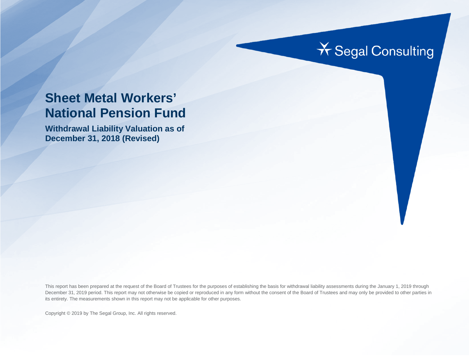# **X** Segal Consulting

# **Sheet Metal Workers' National Pension Fund**

**Withdrawal Liability Valuation as of December 31, 2018 (Revised)**

This report has been prepared at the request of the Board of Trustees for the purposes of establishing the basis for withdrawal liability assessments during the January 1, 2019 through December 31, 2019 period. This report may not otherwise be copied or reproduced in any form without the consent of the Board of Trustees and may only be provided to other parties in its entirety. The measurements shown in this report may not be applicable for other purposes.

Copyright © 2019 by The Segal Group, Inc. All rights reserved.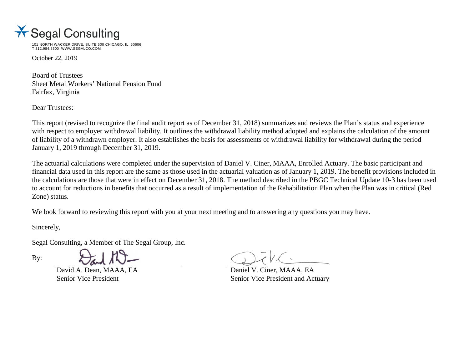

101 NORTH WACKER DRIVE, SUITE 500 CHICAGO, IL 60606 T 312.984.8500 WWW.SEGALCO.COM

October 22, 2019

Board of Trustees Sheet Metal Workers' National Pension Fund Fairfax, Virginia

Dear Trustees:

This report (revised to recognize the final audit report as of December 31, 2018) summarizes and reviews the Plan's status and experience with respect to employer withdrawal liability. It outlines the withdrawal liability method adopted and explains the calculation of the amount of liability of a withdrawn employer. It also establishes the basis for assessments of withdrawal liability for withdrawal during the period January 1, 2019 through December 31, 2019.

The actuarial calculations were completed under the supervision of Daniel V. Ciner, MAAA, Enrolled Actuary. The basic participant and financial data used in this report are the same as those used in the actuarial valuation as of January 1, 2019. The benefit provisions included in the calculations are those that were in effect on December 31, 2018. The method described in the PBGC Technical Update 10-3 has been used to account for reductions in benefits that occurred as a result of implementation of the Rehabilitation Plan when the Plan was in critical (Red Zone) status.

We look forward to reviewing this report with you at your next meeting and to answering any questions you may have.

Sincerely,

By:

Segal Consulting, a Member of The Segal Group, Inc.

David A. Dean, MAAA, EA Daniel V. Ciner, MAAA, EA

Senior Vice President Senior Vice President Senior Vice President and Actuary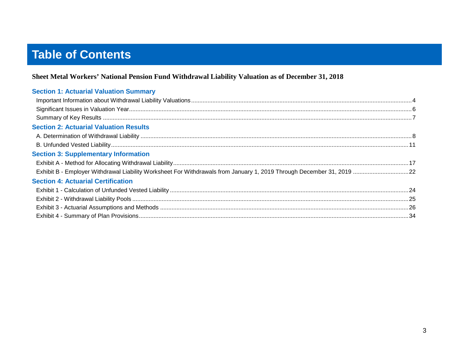# **Table of Contents**

#### Sheet Metal Workers' National Pension Fund Withdrawal Liability Valuation as of December 31, 2018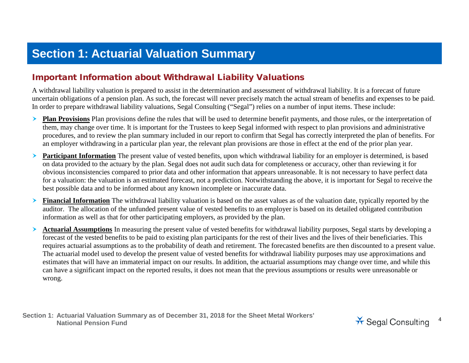# **Section 1: Actuarial Valuation Summary**

### Important Information about Withdrawal Liability Valuations

A withdrawal liability valuation is prepared to assist in the determination and assessment of withdrawal liability. It is a forecast of future uncertain obligations of a pension plan. As such, the forecast will never precisely match the actual stream of benefits and expenses to be paid. In order to prepare withdrawal liability valuations, Segal Consulting ("Segal") relies on a number of input items. These include:

- **Plan Provisions** Plan provisions define the rules that will be used to determine benefit payments, and those rules, or the interpretation of them, may change over time. It is important for the Trustees to keep Segal informed with respect to plan provisions and administrative procedures, and to review the plan summary included in our report to confirm that Segal has correctly interpreted the plan of benefits. For an employer withdrawing in a particular plan year, the relevant plan provisions are those in effect at the end of the prior plan year.
- **Participant Information** The present value of vested benefits, upon which withdrawal liability for an employer is determined, is based on data provided to the actuary by the plan. Segal does not audit such data for completeness or accuracy, other than reviewing it for obvious inconsistencies compared to prior data and other information that appears unreasonable. It is not necessary to have perfect data for a valuation: the valuation is an estimated forecast, not a prediction. Notwithstanding the above, it is important for Segal to receive the best possible data and to be informed about any known incomplete or inaccurate data.
- **Financial Information** The withdrawal liability valuation is based on the asset values as of the valuation date, typically reported by the auditor. The allocation of the unfunded present value of vested benefits to an employer is based on its detailed obligated contribution information as well as that for other participating employers, as provided by the plan.
- **Actuarial Assumptions** In measuring the present value of vested benefits for withdrawal liability purposes, Segal starts by developing a forecast of the vested benefits to be paid to existing plan participants for the rest of their lives and the lives of their beneficiaries. This requires actuarial assumptions as to the probability of death and retirement. The forecasted benefits are then discounted to a present value. The actuarial model used to develop the present value of vested benefits for withdrawal liability purposes may use approximations and estimates that will have an immaterial impact on our results. In addition, the actuarial assumptions may change over time, and while this can have a significant impact on the reported results, it does not mean that the previous assumptions or results were unreasonable or wrong.

**Section 1: Actuarial Valuation Summary as of December 31, 2018 for the Sheet Metal Workers'**  National Pension Fund<br>National Pension Fund

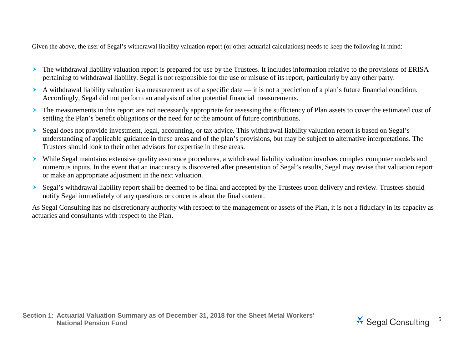Given the above, the user of Segal's withdrawal liability valuation report (or other actuarial calculations) needs to keep the following in mind:

- The withdrawal liability valuation report is prepared for use by the Trustees. It includes information relative to the provisions of ERISA pertaining to withdrawal liability. Segal is not responsible for the use or misuse of its report, particularly by any other party.
- A withdrawal liability valuation is a measurement as of a specific date it is not a prediction of a plan's future financial condition. Accordingly, Segal did not perform an analysis of other potential financial measurements.
- The measurements in this report are not necessarily appropriate for assessing the sufficiency of Plan assets to cover the estimated cost of settling the Plan's benefit obligations or the need for or the amount of future contributions.
- Segal does not provide investment, legal, accounting, or tax advice. This withdrawal liability valuation report is based on Segal's understanding of applicable guidance in these areas and of the plan's provisions, but may be subject to alternative interpretations. The Trustees should look to their other advisors for expertise in these areas.
- While Segal maintains extensive quality assurance procedures, a withdrawal liability valuation involves complex computer models and numerous inputs. In the event that an inaccuracy is discovered after presentation of Segal's results, Segal may revise that valuation report or make an appropriate adjustment in the next valuation.
- Segal's withdrawal liability report shall be deemed to be final and accepted by the Trustees upon delivery and review. Trustees should notify Segal immediately of any questions or concerns about the final content.

As Segal Consulting has no discretionary authority with respect to the management or assets of the Plan, it is not a fiduciary in its capacity as actuaries and consultants with respect to the Plan.

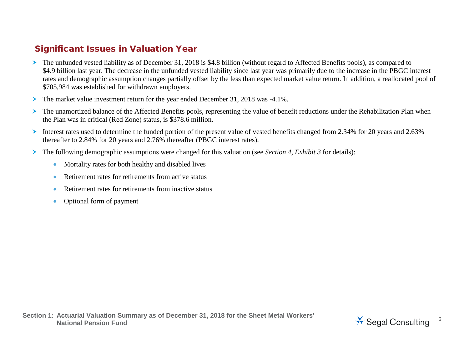### Significant Issues in Valuation Year

- The unfunded vested liability as of December 31, 2018 is \$4.8 billion (without regard to Affected Benefits pools), as compared to \$4.9 billion last year. The decrease in the unfunded vested liability since last year was primarily due to the increase in the PBGC interest rates and demographic assumption changes partially offset by the less than expected market value return. In addition, a reallocated pool of \$705,984 was established for withdrawn employers.
- The market value investment return for the year ended December 31, 2018 was -4.1%.
- The unamortized balance of the Affected Benefits pools, representing the value of benefit reductions under the Rehabilitation Plan when the Plan was in critical (Red Zone) status, is \$378.6 million.
- Interest rates used to determine the funded portion of the present value of vested benefits changed from 2.34% for 20 years and 2.63% thereafter to 2.84% for 20 years and 2.76% thereafter (PBGC interest rates).
- The following demographic assumptions were changed for this valuation (see *Section 4, Exhibit 3* for details):
	- Mortality rates for both healthy and disabled lives
	- Retirement rates for retirements from active status
	- Retirement rates for retirements from inactive status
	- Optional form of payment

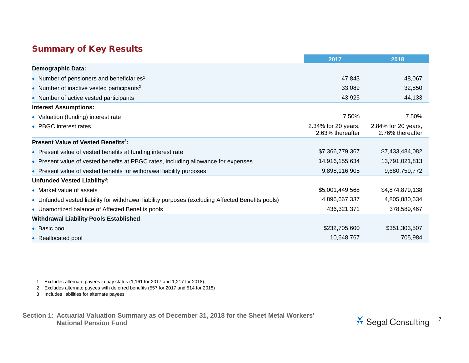### Summary of Key Results

|                                                                                                   | 2017                                    | 2018                                    |
|---------------------------------------------------------------------------------------------------|-----------------------------------------|-----------------------------------------|
| <b>Demographic Data:</b>                                                                          |                                         |                                         |
| • Number of pensioners and beneficiaries <sup>1</sup>                                             | 47,843                                  | 48,067                                  |
| • Number of inactive vested participants <sup>2</sup>                                             | 33,089                                  | 32,850                                  |
| • Number of active vested participants                                                            | 43,925                                  | 44,133                                  |
| <b>Interest Assumptions:</b>                                                                      |                                         |                                         |
| • Valuation (funding) interest rate                                                               | 7.50%                                   | 7.50%                                   |
| • PBGC interest rates                                                                             | 2.34% for 20 years,<br>2.63% thereafter | 2.84% for 20 years,<br>2.76% thereafter |
| Present Value of Vested Benefits <sup>3</sup> :                                                   |                                         |                                         |
| • Present value of vested benefits at funding interest rate                                       | \$7,366,779,367                         | \$7,433,484,082                         |
| • Present value of vested benefits at PBGC rates, including allowance for expenses                | 14,916,155,634                          | 13,791,021,813                          |
| • Present value of vested benefits for withdrawal liability purposes                              | 9,898,116,905                           | 9,680,759,772                           |
| Unfunded Vested Liability <sup>3</sup> :                                                          |                                         |                                         |
| • Market value of assets                                                                          | \$5,001,449,568                         | \$4,874,879,138                         |
| • Unfunded vested liability for withdrawal liability purposes (excluding Affected Benefits pools) | 4,896,667,337                           | 4,805,880,634                           |
| • Unamortized balance of Affected Benefits pools                                                  | 436,321,371                             | 378,589,467                             |
| <b>Withdrawal Liability Pools Established</b>                                                     |                                         |                                         |
| • Basic pool                                                                                      | \$232,705,600                           | \$351,303,507                           |
| • Reallocated pool                                                                                | 10,648,767                              | 705,984                                 |

1 Excludes alternate payees in pay status (1,161 for 2017 and 1,217 for 2018)

2 Excludes alternate payees with deferred benefits (557 for 2017 and 514 for 2018)

3 Includes liabilities for alternate payees

**Section 1: Actuarial Valuation Summary as of December 31, 2018 for the Sheet Metal Workers'** 

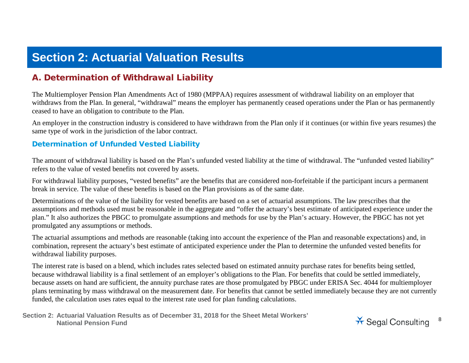# **Section 2: Actuarial Valuation Results**

### A. Determination of Withdrawal Liability

The Multiemployer Pension Plan Amendments Act of 1980 (MPPAA) requires assessment of withdrawal liability on an employer that withdraws from the Plan. In general, "withdrawal" means the employer has permanently ceased operations under the Plan or has permanently ceased to have an obligation to contribute to the Plan.

An employer in the construction industry is considered to have withdrawn from the Plan only if it continues (or within five years resumes) the same type of work in the jurisdiction of the labor contract.

#### Determination of Unfunded Vested Liability

The amount of withdrawal liability is based on the Plan's unfunded vested liability at the time of withdrawal. The "unfunded vested liability" refers to the value of vested benefits not covered by assets.

For withdrawal liability purposes, "vested benefits" are the benefits that are considered non-forfeitable if the participant incurs a permanent break in service. The value of these benefits is based on the Plan provisions as of the same date.

Determinations of the value of the liability for vested benefits are based on a set of actuarial assumptions. The law prescribes that the assumptions and methods used must be reasonable in the aggregate and "offer the actuary's best estimate of anticipated experience under the plan." It also authorizes the PBGC to promulgate assumptions and methods for use by the Plan's actuary. However, the PBGC has not yet promulgated any assumptions or methods.

The actuarial assumptions and methods are reasonable (taking into account the experience of the Plan and reasonable expectations) and, in combination, represent the actuary's best estimate of anticipated experience under the Plan to determine the unfunded vested benefits for withdrawal liability purposes.

The interest rate is based on a blend, which includes rates selected based on estimated annuity purchase rates for benefits being settled, because withdrawal liability is a final settlement of an employer's obligations to the Plan. For benefits that could be settled immediately, because assets on hand are sufficient, the annuity purchase rates are those promulgated by PBGC under ERISA Sec. 4044 for multiemployer plans terminating by mass withdrawal on the measurement date. For benefits that cannot be settled immediately because they are not currently funded, the calculation uses rates equal to the interest rate used for plan funding calculations.

**Section 2: Actuarial Valuation Results as of December 31, 2018 for the Sheet Metal Workers'**  National Pension Fund<br>National Pension Fund

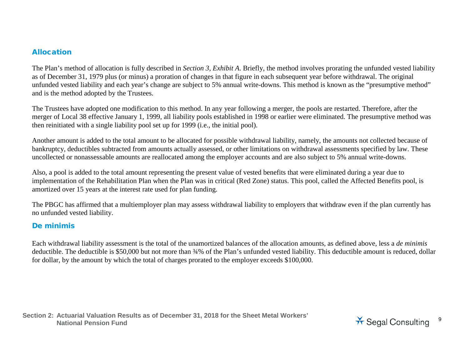#### Allocation

The Plan's method of allocation is fully described in *Section 3, Exhibit A*. Briefly, the method involves prorating the unfunded vested liability as of December 31, 1979 plus (or minus) a proration of changes in that figure in each subsequent year before withdrawal. The original unfunded vested liability and each year's change are subject to 5% annual write-downs. This method is known as the "presumptive method" and is the method adopted by the Trustees.

The Trustees have adopted one modification to this method. In any year following a merger, the pools are restarted. Therefore, after the merger of Local 38 effective January 1, 1999, all liability pools established in 1998 or earlier were eliminated. The presumptive method was then reinitiated with a single liability pool set up for 1999 (i.e., the initial pool).

Another amount is added to the total amount to be allocated for possible withdrawal liability, namely, the amounts not collected because of bankruptcy, deductibles subtracted from amounts actually assessed, or other limitations on withdrawal assessments specified by law. These uncollected or nonassessable amounts are reallocated among the employer accounts and are also subject to 5% annual write-downs.

Also, a pool is added to the total amount representing the present value of vested benefits that were eliminated during a year due to implementation of the Rehabilitation Plan when the Plan was in critical (Red Zone) status. This pool, called the Affected Benefits pool, is amortized over 15 years at the interest rate used for plan funding.

The PBGC has affirmed that a multiemployer plan may assess withdrawal liability to employers that withdraw even if the plan currently has no unfunded vested liability.

#### De minimis

Each withdrawal liability assessment is the total of the unamortized balances of the allocation amounts, as defined above, less a *de minimis* deductible. The deductible is \$50,000 but not more than  $\frac{34}{6}$  of the Plan's unfunded vested liability. This deductible amount is reduced, dollar for dollar, by the amount by which the total of charges prorated to the employer exceeds \$100,000.

**Section 2: Actuarial Valuation Results as of December 31, 2018 for the Sheet Metal Workers'**  National Pension Fund<br>National Pension Fund

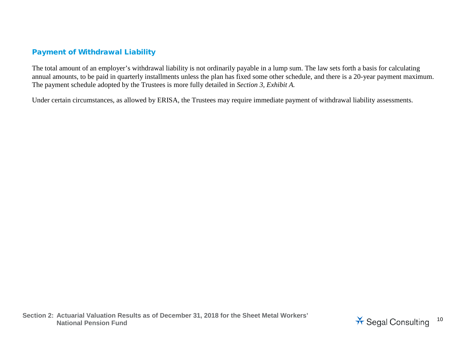#### Payment of Withdrawal Liability

The total amount of an employer's withdrawal liability is not ordinarily payable in a lump sum. The law sets forth a basis for calculating annual amounts, to be paid in quarterly installments unless the plan has fixed some other schedule, and there is a 20-year payment maximum. The payment schedule adopted by the Trustees is more fully detailed in *Section 3, Exhibit A.*

Under certain circumstances, as allowed by ERISA, the Trustees may require immediate payment of withdrawal liability assessments.

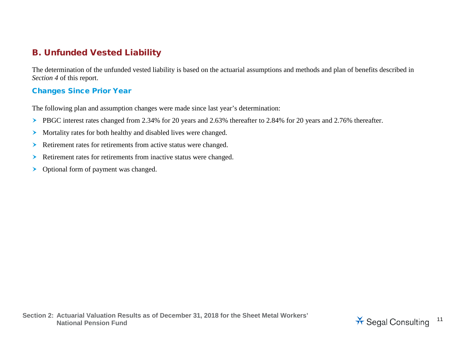# B. Unfunded Vested Liability

The determination of the unfunded vested liability is based on the actuarial assumptions and methods and plan of benefits described in *Section 4* of this report.

#### Changes Since Prior Year

The following plan and assumption changes were made since last year's determination:

- PBGC interest rates changed from 2.34% for 20 years and 2.63% thereafter to 2.84% for 20 years and 2.76% thereafter.
- Mortality rates for both healthy and disabled lives were changed.
- Retirement rates for retirements from active status were changed.
- Retirement rates for retirements from inactive status were changed.
- > Optional form of payment was changed.

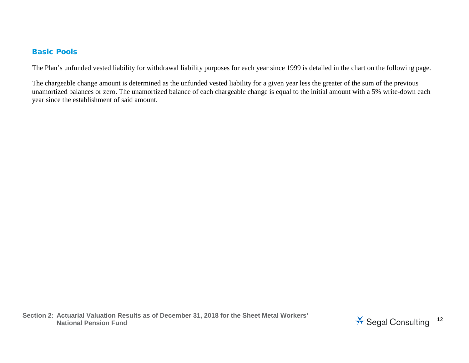#### Basic Pools

The Plan's unfunded vested liability for withdrawal liability purposes for each year since 1999 is detailed in the chart on the following page.

The chargeable change amount is determined as the unfunded vested liability for a given year less the greater of the sum of the previous unamortized balances or zero. The unamortized balance of each chargeable change is equal to the initial amount with a 5% write-down each year since the establishment of said amount.

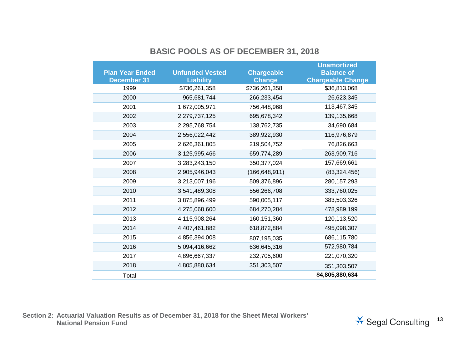### **BASIC POOLS AS OF DECEMBER 31, 2018**

|                        |                        |                   | <b>Unamortized</b>       |
|------------------------|------------------------|-------------------|--------------------------|
| <b>Plan Year Ended</b> | <b>Unfunded Vested</b> | <b>Chargeable</b> | <b>Balance of</b>        |
| <b>December 31</b>     | <b>Liability</b>       | <b>Change</b>     | <b>Chargeable Change</b> |
| 1999                   | \$736,261,358          | \$736,261,358     | \$36,813,068             |
| 2000                   | 965,681,744            | 266,233,454       | 26,623,345               |
| 2001                   | 1,672,005,971          | 756,448,968       | 113,467,345              |
| 2002                   | 2,279,737,125          | 695,678,342       | 139, 135, 668            |
| 2003                   | 2,295,768,754          | 138,762,735       | 34,690,684               |
| 2004                   | 2,556,022,442          | 389,922,930       | 116,976,879              |
| 2005                   | 2,626,361,805          | 219,504,752       | 76,826,663               |
| 2006                   | 3,125,995,466          | 659,774,289       | 263,909,716              |
| 2007                   | 3,283,243,150          | 350, 377, 024     | 157,669,661              |
| 2008                   | 2,905,946,043          | (166, 648, 911)   | (83, 324, 456)           |
| 2009                   | 3,213,007,196          | 509,376,896       | 280, 157, 293            |
| 2010                   | 3,541,489,308          | 556,266,708       | 333,760,025              |
| 2011                   | 3,875,896,499          | 590,005,117       | 383,503,326              |
| 2012                   | 4,275,068,600          | 684,270,284       | 478,989,199              |
| 2013                   | 4,115,908,264          | 160, 151, 360     | 120,113,520              |
| 2014                   | 4,407,461,882          | 618,872,884       | 495,098,307              |
| 2015                   | 4,856,394,008          | 807,195,035       | 686,115,780              |
| 2016                   | 5,094,416,662          | 636,645,316       | 572,980,784              |
| 2017                   | 4,896,667,337          | 232,705,600       | 221,070,320              |
| 2018                   | 4,805,880,634          | 351,303,507       | 351,303,507              |
| Total                  |                        |                   | \$4,805,880,634          |

**Section 2: Actuarial Valuation Results as of December 31, 2018 for the Sheet Metal Workers'** 

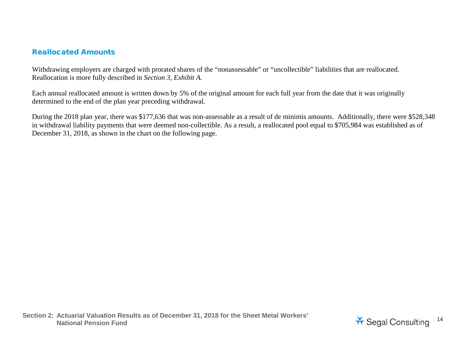#### Reallocated Amounts

Withdrawing employers are charged with prorated shares of the "nonassessable" or "uncollectible" liabilities that are reallocated. Reallocation is more fully described in *Section 3, Exhibit A.*

Each annual reallocated amount is written down by 5% of the original amount for each full year from the date that it was originally determined to the end of the plan year preceding withdrawal.

During the 2018 plan year, there was \$177,636 that was non-assessable as a result of de minimis amounts. Additionally, there were \$528,348 in withdrawal liability payments that were deemed non-collectible. As a result, a reallocated pool equal to \$705,984 was established as of December 31, 2018, as shown in the chart on the following page.

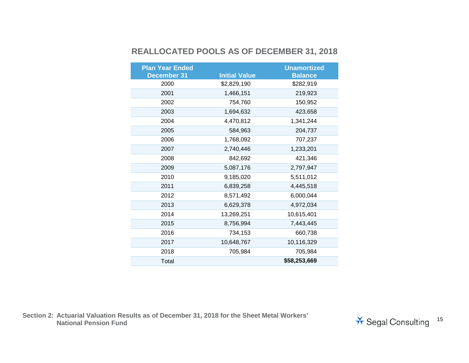### **REALLOCATED POOLS AS OF DECEMBER 31, 2018**

| <b>Plan Year Ended</b> |                      | <b>Unamortized</b> |
|------------------------|----------------------|--------------------|
| <b>December 31</b>     | <b>Initial Value</b> | <b>Balance</b>     |
| 2000                   | \$2,829,190          | \$282,919          |
| 2001                   | 1,466,151            | 219,923            |
| 2002                   | 754,760              | 150,952            |
| 2003                   | 1,694,632            | 423,658            |
| 2004                   | 4,470,812            | 1,341,244          |
| 2005                   | 584,963              | 204,737            |
| 2006                   | 1,768,092            | 707,237            |
| 2007                   | 2,740,446            | 1,233,201          |
| 2008                   | 842,692              | 421,346            |
| 2009                   | 5,087,176            | 2,797,947          |
| 2010                   | 9,185,020            | 5,511,012          |
| 2011                   | 6,839,258            | 4,445,518          |
| 2012                   | 8,571,492            | 6,000,044          |
| 2013                   | 6,629,378            | 4,972,034          |
| 2014                   | 13,269,251           | 10,615,401         |
| 2015                   | 8,756,994            | 7,443,445          |
| 2016                   | 734,153              | 660,738            |
| 2017                   | 10,648,767           | 10,116,329         |
| 2018                   | 705,984              | 705,984            |
| Total                  |                      | \$58,253,669       |

**Section 2: Actuarial Valuation Results as of December 31, 2018 for the Sheet Metal Workers'** 

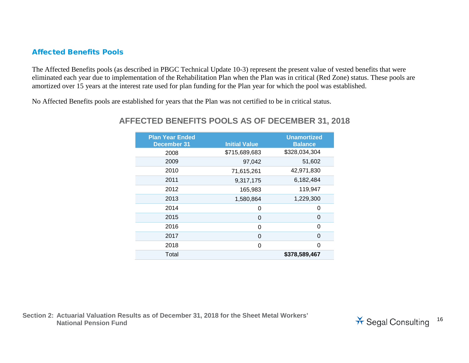#### Affected Benefits Pools

The Affected Benefits pools (as described in PBGC Technical Update 10-3) represent the present value of vested benefits that were eliminated each year due to implementation of the Rehabilitation Plan when the Plan was in critical (Red Zone) status. These pools are amortized over 15 years at the interest rate used for plan funding for the Plan year for which the pool was established.

No Affected Benefits pools are established for years that the Plan was not certified to be in critical status.

| <b>Plan Year Ended</b><br><b>December 31</b> | <b>Initial Value</b> | <b>Unamortized</b><br><b>Balance</b> |
|----------------------------------------------|----------------------|--------------------------------------|
| 2008                                         | \$715,689,683        | \$328,034,304                        |
| 2009                                         | 97,042               | 51,602                               |
| 2010                                         | 71,615,261           | 42,971,830                           |
| 2011                                         | 9,317,175            | 6,182,484                            |
| 2012                                         | 165,983              | 119,947                              |
| 2013                                         | 1,580,864            | 1,229,300                            |
| 2014                                         | 0                    | 0                                    |
| 2015                                         | 0                    | 0                                    |
| 2016                                         | 0                    | 0                                    |
| 2017                                         | 0                    | 0                                    |
| 2018                                         | 0                    | 0                                    |
| Total                                        |                      | \$378,589,467                        |

#### **AFFECTED BENEFITS POOLS AS OF DECEMBER 31, 2018**

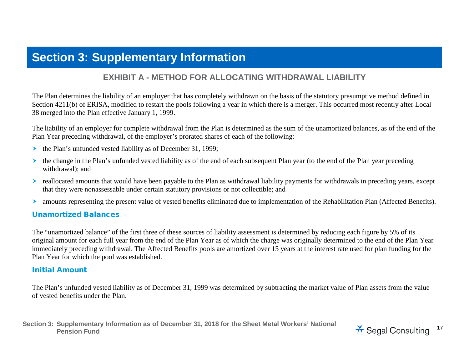# **Section 3: Supplementary Information**

#### **EXHIBIT A - METHOD FOR ALLOCATING WITHDRAWAL LIABILITY**

The Plan determines the liability of an employer that has completely withdrawn on the basis of the statutory presumptive method defined in Section 4211(b) of ERISA, modified to restart the pools following a year in which there is a merger. This occurred most recently after Local 38 merged into the Plan effective January 1, 1999.

The liability of an employer for complete withdrawal from the Plan is determined as the sum of the unamortized balances, as of the end of the Plan Year preceding withdrawal, of the employer's prorated shares of each of the following:

- $\triangleright$  the Plan's unfunded vested liability as of December 31, 1999;
- $\triangleright$  the change in the Plan's unfunded vested liability as of the end of each subsequent Plan year (to the end of the Plan year preceding withdrawal); and
- reallocated amounts that would have been payable to the Plan as withdrawal liability payments for withdrawals in preceding years, except that they were nonassessable under certain statutory provisions or not collectible; and
- amounts representing the present value of vested benefits eliminated due to implementation of the Rehabilitation Plan (Affected Benefits).

#### Unamortized Balances

The "unamortized balance" of the first three of these sources of liability assessment is determined by reducing each figure by 5% of its original amount for each full year from the end of the Plan Year as of which the charge was originally determined to the end of the Plan Year immediately preceding withdrawal. The Affected Benefits pools are amortized over 15 years at the interest rate used for plan funding for the Plan Year for which the pool was established.

#### Initial Amount

The Plan's unfunded vested liability as of December 31, 1999 was determined by subtracting the market value of Plan assets from the value of vested benefits under the Plan.

**Section 3: Supplementary Information as of December 31, 2018 for the Sheet Metal Workers' National** 

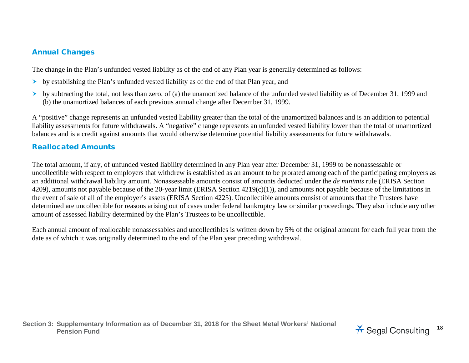#### Annual Changes

The change in the Plan's unfunded vested liability as of the end of any Plan year is generally determined as follows:

- by establishing the Plan's unfunded vested liability as of the end of that Plan year, and
- $\rightarrow$  by subtracting the total, not less than zero, of (a) the unamortized balance of the unfunded vested liability as of December 31, 1999 and (b) the unamortized balances of each previous annual change after December 31, 1999.

A "positive" change represents an unfunded vested liability greater than the total of the unamortized balances and is an addition to potential liability assessments for future withdrawals. A "negative" change represents an unfunded vested liability lower than the total of unamortized balances and is a credit against amounts that would otherwise determine potential liability assessments for future withdrawals.

#### Reallocated Amounts

The total amount, if any, of unfunded vested liability determined in any Plan year after December 31, 1999 to be nonassessable or uncollectible with respect to employers that withdrew is established as an amount to be prorated among each of the participating employers as an additional withdrawal liability amount. Nonassessable amounts consist of amounts deducted under the *de minimis* rule (ERISA Section 4209), amounts not payable because of the 20-year limit (ERISA Section 4219(c)(1)), and amounts not payable because of the limitations in the event of sale of all of the employer's assets (ERISA Section 4225). Uncollectible amounts consist of amounts that the Trustees have determined are uncollectible for reasons arising out of cases under federal bankruptcy law or similar proceedings. They also include any other amount of assessed liability determined by the Plan's Trustees to be uncollectible.

Each annual amount of reallocable nonassessables and uncollectibles is written down by 5% of the original amount for each full year from the date as of which it was originally determined to the end of the Plan year preceding withdrawal.

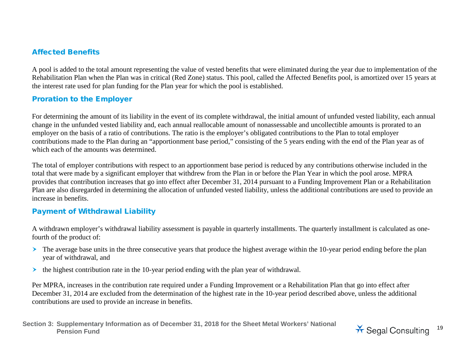#### Affected Benefits

A pool is added to the total amount representing the value of vested benefits that were eliminated during the year due to implementation of the Rehabilitation Plan when the Plan was in critical (Red Zone) status. This pool, called the Affected Benefits pool, is amortized over 15 years at the interest rate used for plan funding for the Plan year for which the pool is established.

#### Proration to the Employer

For determining the amount of its liability in the event of its complete withdrawal, the initial amount of unfunded vested liability, each annual change in the unfunded vested liability and, each annual reallocable amount of nonassessable and uncollectible amounts is prorated to an employer on the basis of a ratio of contributions. The ratio is the employer's obligated contributions to the Plan to total employer contributions made to the Plan during an "apportionment base period," consisting of the 5 years ending with the end of the Plan year as of which each of the amounts was determined.

The total of employer contributions with respect to an apportionment base period is reduced by any contributions otherwise included in the total that were made by a significant employer that withdrew from the Plan in or before the Plan Year in which the pool arose. MPRA provides that contribution increases that go into effect after December 31, 2014 pursuant to a Funding Improvement Plan or a Rehabilitation Plan are also disregarded in determining the allocation of unfunded vested liability, unless the additional contributions are used to provide an increase in benefits.

#### Payment of Withdrawal Liability

A withdrawn employer's withdrawal liability assessment is payable in quarterly installments. The quarterly installment is calculated as onefourth of the product of:

- The average base units in the three consecutive years that produce the highest average within the 10-year period ending before the plan year of withdrawal, and
- $\triangleright$  the highest contribution rate in the 10-year period ending with the plan year of withdrawal.

Per MPRA, increases in the contribution rate required under a Funding Improvement or a Rehabilitation Plan that go into effect after December 31, 2014 are excluded from the determination of the highest rate in the 10-year period described above, unless the additional contributions are used to provide an increase in benefits.

**Section 3: Supplementary Information as of December 31, 2018 for the Sheet Metal Workers' National** 

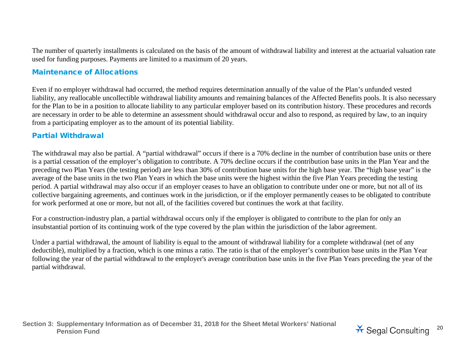The number of quarterly installments is calculated on the basis of the amount of withdrawal liability and interest at the actuarial valuation rate used for funding purposes. Payments are limited to a maximum of 20 years.

#### Maintenance of Allocations

Even if no employer withdrawal had occurred, the method requires determination annually of the value of the Plan's unfunded vested liability, any reallocable uncollectible withdrawal liability amounts and remaining balances of the Affected Benefits pools. It is also necessary for the Plan to be in a position to allocate liability to any particular employer based on its contribution history. These procedures and records are necessary in order to be able to determine an assessment should withdrawal occur and also to respond, as required by law, to an inquiry from a participating employer as to the amount of its potential liability.

#### Partial Withdrawal

The withdrawal may also be partial. A "partial withdrawal" occurs if there is a 70% decline in the number of contribution base units or there is a partial cessation of the employer's obligation to contribute. A 70% decline occurs if the contribution base units in the Plan Year and the preceding two Plan Years (the testing period) are less than 30% of contribution base units for the high base year. The "high base year" is the average of the base units in the two Plan Years in which the base units were the highest within the five Plan Years preceding the testing period. A partial withdrawal may also occur if an employer ceases to have an obligation to contribute under one or more, but not all of its collective bargaining agreements, and continues work in the jurisdiction, or if the employer permanently ceases to be obligated to contribute for work performed at one or more, but not all, of the facilities covered but continues the work at that facility.

For a construction-industry plan, a partial withdrawal occurs only if the employer is obligated to contribute to the plan for only an insubstantial portion of its continuing work of the type covered by the plan within the jurisdiction of the labor agreement.

Under a partial withdrawal, the amount of liability is equal to the amount of withdrawal liability for a complete withdrawal (net of any deductible), multiplied by a fraction, which is one minus a ratio. The ratio is that of the employer's contribution base units in the Plan Year following the year of the partial withdrawal to the employer's average contribution base units in the five Plan Years preceding the year of the partial withdrawal.

**Section 3: Supplementary Information as of December 31, 2018 for the Sheet Metal Workers' National** 

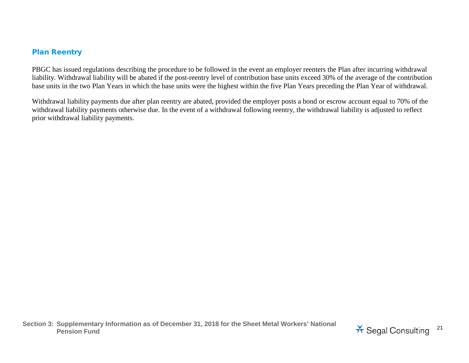#### Plan Reentry

PBGC has issued regulations describing the procedure to be followed in the event an employer reenters the Plan after incurring withdrawal liability. Withdrawal liability will be abated if the post-reentry level of contribution base units exceed 30% of the average of the contribution base units in the two Plan Years in which the base units were the highest within the five Plan Years preceding the Plan Year of withdrawal.

Withdrawal liability payments due after plan reentry are abated, provided the employer posts a bond or escrow account equal to 70% of the withdrawal liability payments otherwise due. In the event of a withdrawal following reentry, the withdrawal liability is adjusted to reflect prior withdrawal liability payments.

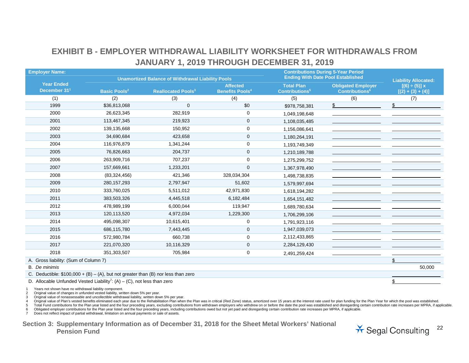### **EXHIBIT B - EMPLOYER WITHDRAWAL LIABILITY WORKSHEET FOR WITHDRAWALS FROM JANUARY 1, 2019 THROUGH DECEMBER 31, 2019**

| <b>Employer Name:</b>                         |                                                                                     |                                                          |                                   |                                   | <b>Contributions During 5-Year Period</b> |                             |
|-----------------------------------------------|-------------------------------------------------------------------------------------|----------------------------------------------------------|-----------------------------------|-----------------------------------|-------------------------------------------|-----------------------------|
|                                               |                                                                                     | <b>Unamortized Balance of Withdrawal Liability Pools</b> |                                   |                                   | <b>Ending With Date Pool Established</b>  | <b>Liability Allocated:</b> |
| <b>Year Ended</b><br>December 31 <sup>1</sup> |                                                                                     |                                                          | <b>Affected</b>                   | <b>Total Plan</b>                 | <b>Obligated Employer</b>                 | $[(6) \div (5)] x$          |
|                                               | <b>Basic Pools<sup>2</sup></b>                                                      | <b>Reallocated Pools<sup>3</sup></b>                     | <b>Benefits Pools<sup>4</sup></b> | <b>Contributions</b> <sup>5</sup> | <b>Contributions</b> <sup>6</sup>         | $[(2) + (3) + (4)]$         |
| (1)                                           | (2)                                                                                 | (3)                                                      | (4)                               | (5)                               | (6)                                       | (7)                         |
| 1999                                          | \$36,813,068                                                                        | $\mathbf 0$                                              | \$0                               | \$978,758,381                     | \$                                        |                             |
| 2000                                          | 26,623,345                                                                          | 282,919                                                  | $\mathbf 0$                       | 1,049,198,648                     |                                           |                             |
| 2001                                          | 113,467,345                                                                         | 219,923                                                  | $\mathbf 0$                       | 1,108,035,485                     |                                           |                             |
| 2002                                          | 139,135,668                                                                         | 150,952                                                  | 0                                 | 1,156,086,641                     |                                           |                             |
| 2003                                          | 34,690,684                                                                          | 423,658                                                  | 0                                 | 1,180,264,191                     |                                           |                             |
| 2004                                          | 116,976,879                                                                         | 1,341,244                                                | 0                                 | 1,193,749,349                     |                                           |                             |
| 2005                                          | 76,826,663                                                                          | 204,737                                                  | 0                                 | 1,210,189,788                     |                                           |                             |
| 2006                                          | 263,909,716                                                                         | 707,237                                                  | 0                                 | 1,275,299,752                     |                                           |                             |
| 2007                                          | 157,669,661                                                                         | 1,233,201                                                | $\mathbf 0$                       | 1,367,978,490                     |                                           |                             |
| 2008                                          | (83, 324, 456)                                                                      | 421,346                                                  | 328,034,304                       | 1,498,738,835                     |                                           |                             |
| 2009                                          | 280, 157, 293                                                                       | 2,797,947                                                | 51,602                            | 1,579,997,694                     |                                           |                             |
| 2010                                          | 333,760,025                                                                         | 5,511,012                                                | 42,971,830                        | 1,618,194,282                     |                                           |                             |
| 2011                                          | 383,503,326                                                                         | 4,445,518                                                | 6,182,484                         | 1,654,151,482                     |                                           |                             |
| 2012                                          | 478,989,199                                                                         | 6,000,044                                                | 119,947                           | 1,689,780,634                     |                                           |                             |
| 2013                                          | 120,113,520                                                                         | 4,972,034                                                | 1,229,300                         | 1,706,299,106                     |                                           |                             |
| 2014                                          | 495,098,307                                                                         | 10,615,401                                               | 0                                 | 1,791,923,116                     |                                           |                             |
| 2015                                          | 686,115,780                                                                         | 7,443,445                                                | $\mathbf 0$                       | 1,947,039,073                     |                                           |                             |
| 2016                                          | 572,980,784                                                                         | 660,738                                                  | 0                                 | 2,112,433,865                     |                                           |                             |
| 2017                                          | 221,070,320                                                                         | 10,116,329                                               | $\mathbf{0}$                      | 2,284,129,430                     |                                           |                             |
| 2018                                          | 351,303,507                                                                         | 705,984                                                  | 0                                 | 2,491,259,424                     |                                           |                             |
| A. Gross liability: (Sum of Column 7)         |                                                                                     |                                                          |                                   |                                   |                                           | \$                          |
| <b>B.</b> De minimis                          |                                                                                     |                                                          |                                   |                                   |                                           | 50,000                      |
|                                               | C. Deductible: $$100,000 + (B) - (A)$ , but not greater than (B) nor less than zero |                                                          |                                   |                                   |                                           |                             |
|                                               | D. Allocable Unfunded Vested Liability <sup>7</sup> : (A) - (C), not less than zero |                                                          |                                   |                                   |                                           |                             |

1 Years not shown have no withdrawal liability component.

2 Original value of changes in unfunded vested liability, written down 5% per year.

3 Original value of nonassessable and uncollectible withdrawal liability, written down 5% per year.

4 Original value of Plan's vested benefits eliminated each year due to the Rehabilitation Plan when the Plan was in critical (Red Zone) status, amortized over 15 years at the interest rate used for plan funding for the Pla

5 Total Fund contributions for the Plan year listed and the four preceding years, excluding contributions from withdrawn employers who withdrew on or before the date the pool was established and disregarding certain contri

6 Obligated employer contributions for the Plan year listed and the four preceding years, including contributions owed but not yet paid and disregarding certain contribution rate increases per MPRA, if applicable.<br>7 Does n

Does not reflect impact of partial withdrawal, limitation on annual payments or sale of assets.

**Section 3: Supplementary Information as of December 31, 2018 for the Sheet Metal Workers' National** 

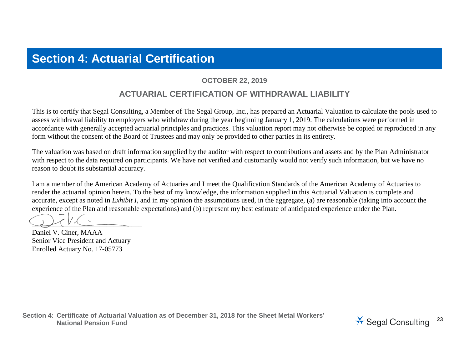# **Section 4: Actuarial Certification**

#### **OCTOBER 22, 2019**

## **ACTUARIAL CERTIFICATION OF WITHDRAWAL LIABILITY**

This is to certify that Segal Consulting, a Member of The Segal Group, Inc., has prepared an Actuarial Valuation to calculate the pools used to assess withdrawal liability to employers who withdraw during the year beginning January 1, 2019. The calculations were performed in accordance with generally accepted actuarial principles and practices. This valuation report may not otherwise be copied or reproduced in any form without the consent of the Board of Trustees and may only be provided to other parties in its entirety.

The valuation was based on draft information supplied by the auditor with respect to contributions and assets and by the Plan Administrator with respect to the data required on participants. We have not verified and customarily would not verify such information, but we have no reason to doubt its substantial accuracy.

I am a member of the American Academy of Actuaries and I meet the Qualification Standards of the American Academy of Actuaries to render the actuarial opinion herein. To the best of my knowledge, the information supplied in this Actuarial Valuation is complete and accurate, except as noted in *Exhibit I*, and in my opinion the assumptions used, in the aggregate, (a) are reasonable (taking into account the experience of the Plan and reasonable expectations) and (b) represent my best estimate of anticipated experience under the Plan.

 $\mathcal{L}$ 

Daniel V. Ciner, MAAA Senior Vice President and Actuary Enrolled Actuary No. 17-05773

**Section 4: Certificate of Actuarial Valuation as of December 31, 2018 for the Sheet Metal Workers'**  National Pension Fund<br>National Pension Fund<br>National Pension Fund

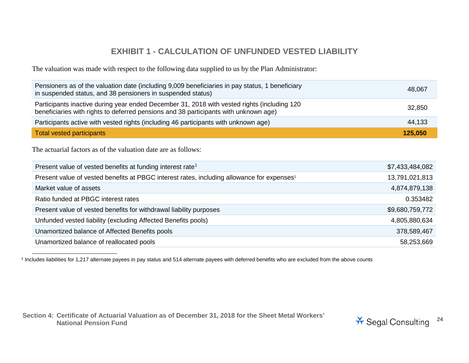# <span id="page-23-0"></span>**EXHIBIT 1 - CALCULATION OF UNFUNDED VESTED LIABILITY**

The valuation was made with respect to the following data supplied to us by the Plan Administrator:

| Pensioners as of the valuation date (including 9,009 beneficiaries in pay status, 1 beneficiary<br>in suspended status, and 38 pensioners in suspended status)                      | 48,067  |
|-------------------------------------------------------------------------------------------------------------------------------------------------------------------------------------|---------|
| Participants inactive during year ended December 31, 2018 with vested rights (including 120<br>beneficiaries with rights to deferred pensions and 38 participants with unknown age) | 32,850  |
| Participants active with vested rights (including 46 participants with unknown age)                                                                                                 | 44,133  |
| <b>Total vested participants</b>                                                                                                                                                    | 125,050 |

The actuarial factors as of the valuation date are as follows:

| Present value of vested benefits at funding interest rate <sup>1</sup>                                 | \$7,433,484,082 |
|--------------------------------------------------------------------------------------------------------|-----------------|
| Present value of vested benefits at PBGC interest rates, including allowance for expenses <sup>1</sup> | 13,791,021,813  |
| Market value of assets                                                                                 | 4,874,879,138   |
| Ratio funded at PBGC interest rates                                                                    | 0.353482        |
| Present value of vested benefits for withdrawal liability purposes                                     | \$9,680,759,772 |
| Unfunded vested liability (excluding Affected Benefits pools)                                          | 4,805,880,634   |
| Unamortized balance of Affected Benefits pools                                                         | 378,589,467     |
| Unamortized balance of reallocated pools                                                               | 58,253,669      |

<sup>1</sup> Includes liabilities for 1,217 alternate payees in pay status and 514 alternate payees with deferred benefits who are excluded from the above counts

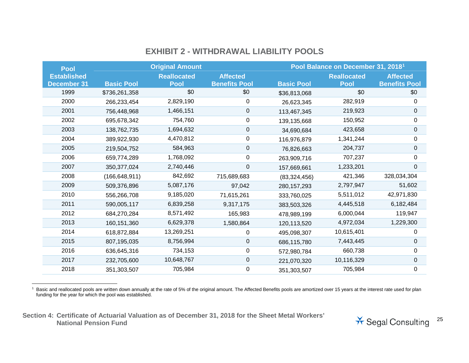# <span id="page-24-0"></span>**EXHIBIT 2 - WITHDRAWAL LIABILITY POOLS**

| <b>Pool</b>        |                   | <b>Original Amount</b> |                      |                   | Pool Balance on December 31, 2018 <sup>1</sup> |                      |
|--------------------|-------------------|------------------------|----------------------|-------------------|------------------------------------------------|----------------------|
| <b>Established</b> |                   | <b>Reallocated</b>     | <b>Affected</b>      |                   | <b>Reallocated</b>                             | <b>Affected</b>      |
| <b>December 31</b> | <b>Basic Pool</b> | <b>Pool</b>            | <b>Benefits Pool</b> | <b>Basic Pool</b> | <b>Pool</b>                                    | <b>Benefits Pool</b> |
| 1999               | \$736,261,358     | \$0                    | \$0                  | \$36,813,068      | \$0                                            | \$0                  |
| 2000               | 266,233,454       | 2,829,190              | 0                    | 26,623,345        | 282,919                                        | 0                    |
| 2001               | 756,448,968       | 1,466,151              | 0                    | 113,467,345       | 219,923                                        | 0                    |
| 2002               | 695,678,342       | 754,760                | 0                    | 139, 135, 668     | 150,952                                        | 0                    |
| 2003               | 138,762,735       | 1,694,632              | 0                    | 34,690,684        | 423,658                                        | $\mathbf 0$          |
| 2004               | 389,922,930       | 4,470,812              | 0                    | 116,976,879       | 1,341,244                                      | 0                    |
| 2005               | 219,504,752       | 584,963                | 0                    | 76,826,663        | 204,737                                        | 0                    |
| 2006               | 659,774,289       | 1,768,092              | 0                    | 263,909,716       | 707,237                                        | 0                    |
| 2007               | 350, 377, 024     | 2,740,446              | 0                    | 157,669,661       | 1,233,201                                      | $\mathbf 0$          |
| 2008               | (166, 648, 911)   | 842,692                | 715,689,683          | (83, 324, 456)    | 421,346                                        | 328,034,304          |
| 2009               | 509,376,896       | 5,087,176              | 97,042               | 280, 157, 293     | 2,797,947                                      | 51,602               |
| 2010               | 556,266,708       | 9,185,020              | 71,615,261           | 333,760,025       | 5,511,012                                      | 42,971,830           |
| 2011               | 590,005,117       | 6,839,258              | 9,317,175            | 383,503,326       | 4,445,518                                      | 6,182,484            |
| 2012               | 684,270,284       | 8,571,492              | 165,983              | 478,989,199       | 6,000,044                                      | 119,947              |
| 2013               | 160,151,360       | 6,629,378              | 1,580,864            | 120,113,520       | 4,972,034                                      | 1,229,300            |
| 2014               | 618,872,884       | 13,269,251             | 0                    | 495,098,307       | 10,615,401                                     | 0                    |
| 2015               | 807,195,035       | 8,756,994              | 0                    | 686,115,780       | 7,443,445                                      | 0                    |
| 2016               | 636,645,316       | 734,153                | 0                    | 572,980,784       | 660,738                                        | 0                    |
| 2017               | 232,705,600       | 10,648,767             | 0                    | 221,070,320       | 10,116,329                                     | 0                    |
| 2018               | 351,303,507       | 705,984                | 0                    | 351,303,507       | 705,984                                        | 0                    |

1 Basic and reallocated pools are written down annually at the rate of 5% of the original amount. The Affected Benefits pools are amortized over 15 years at the interest rate used for plan funding for the year for which the pool was established.

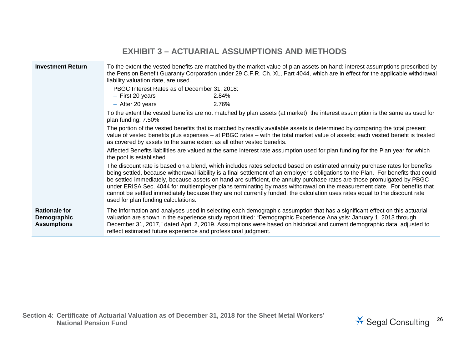| <b>EXHIBIT 3 - ACTUARIAL ASSUMPTIONS AND METHODS</b>                                                                                                                                                                                                                                                                                                                                                                                                                                                                                                                                                                                                                                          |                                                                                                                                                                                                                                                                                                                                                                                                                                                 |  |  |  |
|-----------------------------------------------------------------------------------------------------------------------------------------------------------------------------------------------------------------------------------------------------------------------------------------------------------------------------------------------------------------------------------------------------------------------------------------------------------------------------------------------------------------------------------------------------------------------------------------------------------------------------------------------------------------------------------------------|-------------------------------------------------------------------------------------------------------------------------------------------------------------------------------------------------------------------------------------------------------------------------------------------------------------------------------------------------------------------------------------------------------------------------------------------------|--|--|--|
| <b>Investment Return</b>                                                                                                                                                                                                                                                                                                                                                                                                                                                                                                                                                                                                                                                                      | To the extent the vested benefits are matched by the market value of plan assets on hand: interest assumptions prescribed by<br>the Pension Benefit Guaranty Corporation under 29 C.F.R. Ch. XL, Part 4044, which are in effect for the applicable withdrawal<br>liability valuation date, are used.                                                                                                                                            |  |  |  |
|                                                                                                                                                                                                                                                                                                                                                                                                                                                                                                                                                                                                                                                                                               | PBGC Interest Rates as of December 31, 2018:                                                                                                                                                                                                                                                                                                                                                                                                    |  |  |  |
|                                                                                                                                                                                                                                                                                                                                                                                                                                                                                                                                                                                                                                                                                               | $-$ First 20 years<br>2.84%<br>$-$ After 20 years<br>2.76%                                                                                                                                                                                                                                                                                                                                                                                      |  |  |  |
|                                                                                                                                                                                                                                                                                                                                                                                                                                                                                                                                                                                                                                                                                               | To the extent the vested benefits are not matched by plan assets (at market), the interest assumption is the same as used for<br>plan funding: 7.50%                                                                                                                                                                                                                                                                                            |  |  |  |
|                                                                                                                                                                                                                                                                                                                                                                                                                                                                                                                                                                                                                                                                                               | The portion of the vested benefits that is matched by readily available assets is determined by comparing the total present<br>value of vested benefits plus expenses - at PBGC rates - with the total market value of assets; each vested benefit is treated<br>as covered by assets to the same extent as all other vested benefits.                                                                                                          |  |  |  |
|                                                                                                                                                                                                                                                                                                                                                                                                                                                                                                                                                                                                                                                                                               | Affected Benefits liabilities are valued at the same interest rate assumption used for plan funding for the Plan year for which<br>the pool is established.                                                                                                                                                                                                                                                                                     |  |  |  |
| The discount rate is based on a blend, which includes rates selected based on estimated annuity purchase rates for benefits<br>being settled, because withdrawal liability is a final settlement of an employer's obligations to the Plan. For benefits that could<br>be settled immediately, because assets on hand are sufficient, the annuity purchase rates are those promulgated by PBGC<br>under ERISA Sec. 4044 for multiemployer plans terminating by mass withdrawal on the measurement date. For benefits that<br>cannot be settled immediately because they are not currently funded, the calculation uses rates equal to the discount rate<br>used for plan funding calculations. |                                                                                                                                                                                                                                                                                                                                                                                                                                                 |  |  |  |
| <b>Rationale for</b><br>Demographic<br><b>Assumptions</b>                                                                                                                                                                                                                                                                                                                                                                                                                                                                                                                                                                                                                                     | The information and analyses used in selecting each demographic assumption that has a significant effect on this actuarial<br>valuation are shown in the experience study report titled: "Demographic Experience Analysis: January 1, 2013 through<br>December 31, 2017," dated April 2, 2019. Assumptions were based on historical and current demographic data, adjusted to<br>reflect estimated future experience and professional judgment. |  |  |  |

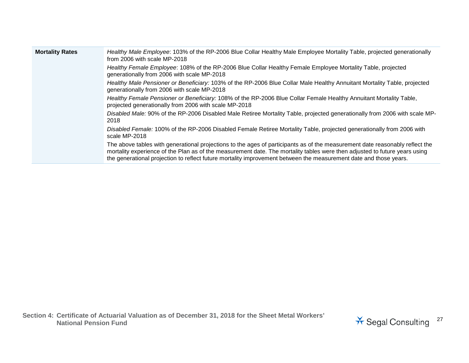| <b>Mortality Rates</b> | Healthy Male Employee: 103% of the RP-2006 Blue Collar Healthy Male Employee Mortality Table, projected generationally<br>from 2006 with scale MP-2018                                                                                                                                                                                                                          |
|------------------------|---------------------------------------------------------------------------------------------------------------------------------------------------------------------------------------------------------------------------------------------------------------------------------------------------------------------------------------------------------------------------------|
|                        | Healthy Female Employee: 108% of the RP-2006 Blue Collar Healthy Female Employee Mortality Table, projected<br>generationally from 2006 with scale MP-2018                                                                                                                                                                                                                      |
|                        | Healthy Male Pensioner or Beneficiary: 103% of the RP-2006 Blue Collar Male Healthy Annuitant Mortality Table, projected<br>generationally from 2006 with scale MP-2018                                                                                                                                                                                                         |
|                        | Healthy Female Pensioner or Beneficiary: 108% of the RP-2006 Blue Collar Female Healthy Annuitant Mortality Table,<br>projected generationally from 2006 with scale MP-2018                                                                                                                                                                                                     |
|                        | Disabled Male: 90% of the RP-2006 Disabled Male Retiree Mortality Table, projected generationally from 2006 with scale MP-<br>2018                                                                                                                                                                                                                                              |
|                        | Disabled Female: 100% of the RP-2006 Disabled Female Retiree Mortality Table, projected generationally from 2006 with<br>scale MP-2018                                                                                                                                                                                                                                          |
|                        | The above tables with generational projections to the ages of participants as of the measurement date reasonably reflect the<br>mortality experience of the Plan as of the measurement date. The mortality tables were then adjusted to future years using<br>the generational projection to reflect future mortality improvement between the measurement date and those years. |

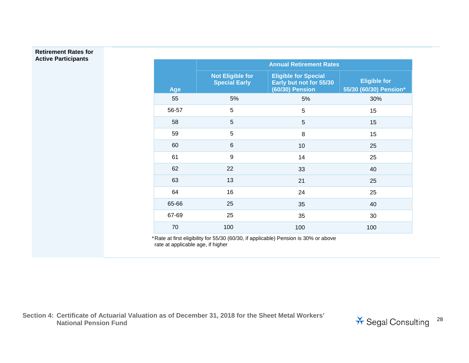#### **Retirement Rates for Active Participants**

|       | <b>Annual Retirement Rates</b>                  |                                                                           |                                               |  |  |
|-------|-------------------------------------------------|---------------------------------------------------------------------------|-----------------------------------------------|--|--|
| Age   | <b>Not Eligible for</b><br><b>Special Early</b> | <b>Eligible for Special</b><br>Early but not for 55/30<br>(60/30) Pension | <b>Eligible for</b><br>55/30 (60/30) Pension* |  |  |
| 55    | 5%                                              | 5%                                                                        | 30%                                           |  |  |
| 56-57 | 5                                               | 5                                                                         | 15                                            |  |  |
| 58    | 5                                               | 5                                                                         | 15                                            |  |  |
| 59    | 5                                               | 8                                                                         | 15                                            |  |  |
| 60    | 6                                               | 10                                                                        | 25                                            |  |  |
| 61    | 9                                               | 14                                                                        | 25                                            |  |  |
| 62    | 22                                              | 33                                                                        | 40                                            |  |  |
| 63    | 13                                              | 21                                                                        | 25                                            |  |  |
| 64    | 16                                              | 24                                                                        | 25                                            |  |  |
| 65-66 | 25                                              | 35                                                                        | 40                                            |  |  |
| 67-69 | 25                                              | 35                                                                        | 30                                            |  |  |
| 70    | 100                                             | 100                                                                       | 100                                           |  |  |

\*Rate at first eligibility for 55/30 (60/30, if applicable) Pension is 30% or above rate at applicable age, if higher

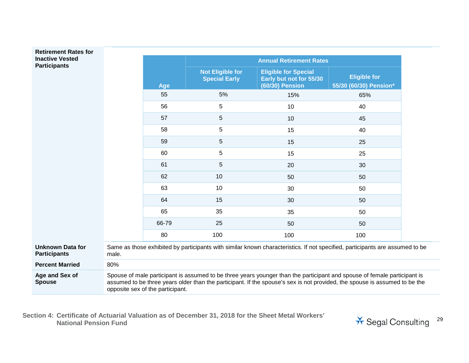#### **Retirement Rates for Inactive Vested Participants**

**Unknown Data for Participants**

**Percent Married** 

|       |       | <b>Annual Retirement Rates</b>                  |                                                                                                                              |                                               |
|-------|-------|-------------------------------------------------|------------------------------------------------------------------------------------------------------------------------------|-----------------------------------------------|
|       | Age   | <b>Not Eligible for</b><br><b>Special Early</b> | <b>Eligible for Special</b><br>Early but not for 55/30<br><b>(60/30) Pension</b>                                             | <b>Eligible for</b><br>55/30 (60/30) Pension* |
|       | 55    | 5%                                              | 15%                                                                                                                          | 65%                                           |
|       | 56    | $\sqrt{5}$                                      | 10                                                                                                                           | 40                                            |
|       | 57    | $5\phantom{.0}$                                 | 10                                                                                                                           | 45                                            |
|       | 58    | 5                                               | 15                                                                                                                           | 40                                            |
|       | 59    | 5                                               | 15                                                                                                                           | 25                                            |
|       | 60    | 5                                               | 15                                                                                                                           | 25                                            |
|       | 61    | 5                                               | 20                                                                                                                           | 30                                            |
|       | 62    | 10                                              | 50                                                                                                                           | 50                                            |
|       | 63    | 10                                              | 30                                                                                                                           | 50                                            |
|       | 64    | 15                                              | 30                                                                                                                           | 50                                            |
|       | 65    | 35                                              | 35                                                                                                                           | 50                                            |
|       | 66-79 | 25                                              | 50                                                                                                                           | 50                                            |
|       | 80    | 100                                             | 100                                                                                                                          | 100                                           |
| male. |       |                                                 | Same as those exhibited by participants with similar known characteristics. If not specified, participants are assumed to be |                                               |
| 80%   |       |                                                 |                                                                                                                              |                                               |

**Age and Sex of Spouse** Spouse of male participant is assumed to be three years younger than the participant and spouse of female participant is assumed to be three years older than the participant. If the spouse's sex is not provided, the spouse is assumed to be the opposite sex of the participant.

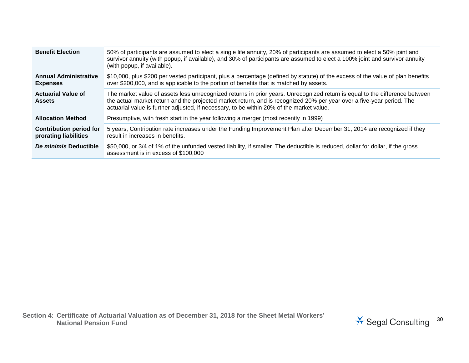| <b>Benefit Election</b>                                 | 50% of participants are assumed to elect a single life annuity, 20% of participants are assumed to elect a 50% joint and<br>survivor annuity (with popup, if available), and 30% of participants are assumed to elect a 100% joint and survivor annuity<br>(with popup, if available).                                                           |
|---------------------------------------------------------|--------------------------------------------------------------------------------------------------------------------------------------------------------------------------------------------------------------------------------------------------------------------------------------------------------------------------------------------------|
| <b>Annual Administrative</b><br><b>Expenses</b>         | \$10,000, plus \$200 per vested participant, plus a percentage (defined by statute) of the excess of the value of plan benefits<br>over \$200,000, and is applicable to the portion of benefits that is matched by assets.                                                                                                                       |
| <b>Actuarial Value of</b><br><b>Assets</b>              | The market value of assets less unrecognized returns in prior years. Unrecognized return is equal to the difference between<br>the actual market return and the projected market return, and is recognized 20% per year over a five-year period. The<br>actuarial value is further adjusted, if necessary, to be within 20% of the market value. |
| <b>Allocation Method</b>                                | Presumptive, with fresh start in the year following a merger (most recently in 1999)                                                                                                                                                                                                                                                             |
| <b>Contribution period for</b><br>prorating liabilities | 5 years; Contribution rate increases under the Funding Improvement Plan after December 31, 2014 are recognized if they<br>result in increases in benefits.                                                                                                                                                                                       |
| De minimis Deductible                                   | \$50,000, or 3/4 of 1% of the unfunded vested liability, if smaller. The deductible is reduced, dollar for dollar, if the gross<br>assessment is in excess of \$100,000                                                                                                                                                                          |

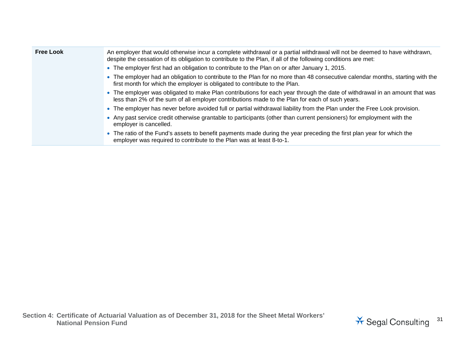| <b>Free Look</b> | An employer that would otherwise incur a complete withdrawal or a partial withdrawal will not be deemed to have withdrawn,<br>despite the cessation of its obligation to contribute to the Plan, if all of the following conditions are met: |
|------------------|----------------------------------------------------------------------------------------------------------------------------------------------------------------------------------------------------------------------------------------------|
|                  | • The employer first had an obligation to contribute to the Plan on or after January 1, 2015.                                                                                                                                                |
|                  | • The employer had an obligation to contribute to the Plan for no more than 48 consecutive calendar months, starting with the<br>first month for which the employer is obligated to contribute to the Plan.                                  |
|                  | • The employer was obligated to make Plan contributions for each year through the date of withdrawal in an amount that was<br>less than 2% of the sum of all employer contributions made to the Plan for each of such years.                 |
|                  | • The employer has never before avoided full or partial withdrawal liability from the Plan under the Free Look provision.                                                                                                                    |
|                  | • Any past service credit otherwise grantable to participants (other than current pensioners) for employment with the<br>employer is cancelled.                                                                                              |
|                  | • The ratio of the Fund's assets to benefit payments made during the year preceding the first plan year for which the<br>employer was required to contribute to the Plan was at least 8-to-1.                                                |

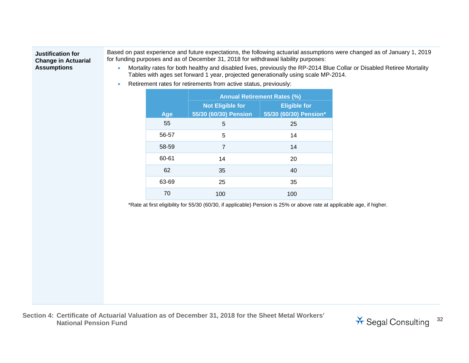#### **Justification for Change in Actuarial Assumptions**

Based on past experience and future expectations, the following actuarial assumptions were changed as of January 1, 2019 for funding purposes and as of December 31, 2018 for withdrawal liability purposes:

- Mortality rates for both healthy and disabled lives, previously the RP-2014 Blue Collar or Disabled Retiree Mortality Tables with ages set forward 1 year, projected generationally using scale MP-2014.
- Retirement rates for retirements from active status, previously:

|       | <b>Annual Retirement Rates (%)</b> |                        |  |
|-------|------------------------------------|------------------------|--|
|       | <b>Not Eligible for</b>            | <b>Eligible for</b>    |  |
| Age   | 55/30 (60/30) Pension              | 55/30 (60/30) Pension* |  |
| 55    | 5                                  | 25                     |  |
| 56-57 | 5                                  | 14                     |  |
| 58-59 | 7                                  | 14                     |  |
| 60-61 | 14                                 | 20                     |  |
| 62    | 35                                 | 40                     |  |
| 63-69 | 25                                 | 35                     |  |
| 70    | 100                                | 100                    |  |

\*Rate at first eligibility for 55/30 (60/30, if applicable) Pension is 25% or above rate at applicable age, if higher.

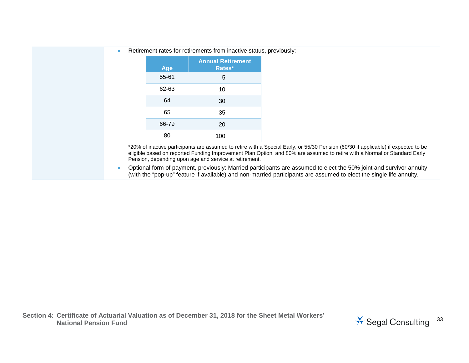| <b>Annual Retirement</b><br>Rates*<br>Age |  |
|-------------------------------------------|--|
| 55-61<br>5                                |  |
| 62-63<br>10                               |  |
| 64<br>30                                  |  |
| 65<br>35                                  |  |
| 66-79<br>20                               |  |
| 80<br>100                                 |  |

• Retirement rates for retirements from inactive status, previously:

\*20% of inactive participants are assumed to retire with a Special Early, or 55/30 Pension (60/30 if applicable) if expected to be eligible based on reported Funding Improvement Plan Option, and 80% are assumed to retire with a Normal or Standard Early Pension, depending upon age and service at retirement.

• Optional form of payment, previously: Married participants are assumed to elect the 50% joint and survivor annuity (with the "pop-up" feature if available) and non-married participants are assumed to elect the single life annuity.

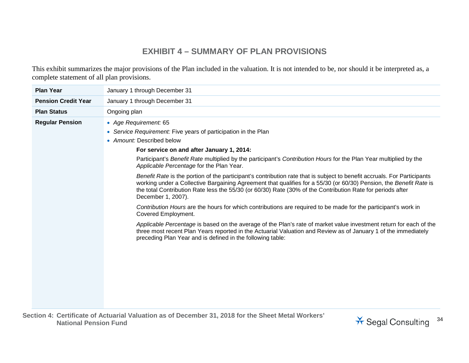# **EXHIBIT 4 – SUMMARY OF PLAN PROVISIONS**

This exhibit summarizes the major provisions of the Plan included in the valuation. It is not intended to be, nor should it be interpreted as, a complete statement of all plan provisions.

| <b>Plan Year</b>           | January 1 through December 31                                                                                                                                                                                                                                                                                                                                                                                                                                                                                                                                                                                                                                                                                                                                                                                                                                                                                                                                                                                                                                                                                                                                           |
|----------------------------|-------------------------------------------------------------------------------------------------------------------------------------------------------------------------------------------------------------------------------------------------------------------------------------------------------------------------------------------------------------------------------------------------------------------------------------------------------------------------------------------------------------------------------------------------------------------------------------------------------------------------------------------------------------------------------------------------------------------------------------------------------------------------------------------------------------------------------------------------------------------------------------------------------------------------------------------------------------------------------------------------------------------------------------------------------------------------------------------------------------------------------------------------------------------------|
| <b>Pension Credit Year</b> | January 1 through December 31                                                                                                                                                                                                                                                                                                                                                                                                                                                                                                                                                                                                                                                                                                                                                                                                                                                                                                                                                                                                                                                                                                                                           |
| <b>Plan Status</b>         | Ongoing plan                                                                                                                                                                                                                                                                                                                                                                                                                                                                                                                                                                                                                                                                                                                                                                                                                                                                                                                                                                                                                                                                                                                                                            |
| <b>Regular Pension</b>     | • Age Requirement: 65<br>• Service Requirement: Five years of participation in the Plan<br>• Amount: Described below<br>For service on and after January 1, 2014:<br>Participant's Benefit Rate multiplied by the participant's Contribution Hours for the Plan Year multiplied by the<br>Applicable Percentage for the Plan Year.<br>Benefit Rate is the portion of the participant's contribution rate that is subject to benefit accruals. For Participants<br>working under a Collective Bargaining Agreement that qualifies for a 55/30 (or 60/30) Pension, the Benefit Rate is<br>the total Contribution Rate less the 55/30 (or 60/30) Rate (30% of the Contribution Rate for periods after<br>December 1, 2007).<br>Contribution Hours are the hours for which contributions are required to be made for the participant's work in<br>Covered Employment.<br>Applicable Percentage is based on the average of the Plan's rate of market value investment return for each of the<br>three most recent Plan Years reported in the Actuarial Valuation and Review as of January 1 of the immediately<br>preceding Plan Year and is defined in the following table: |

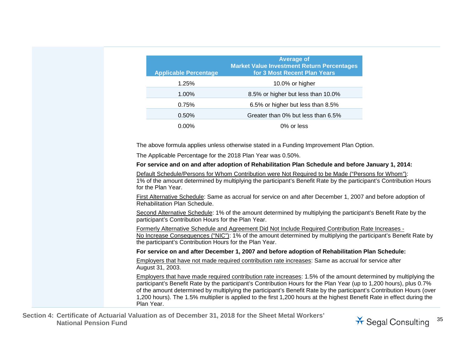| <b>Applicable Percentage</b>                                | <b>Average of</b><br><b>Market Value Investment Return Percentages</b><br>for 3 Most Recent Plan Years                                                                                                                                                                                                                                                                                                                                                                                   |
|-------------------------------------------------------------|------------------------------------------------------------------------------------------------------------------------------------------------------------------------------------------------------------------------------------------------------------------------------------------------------------------------------------------------------------------------------------------------------------------------------------------------------------------------------------------|
| 1.25%                                                       | 10.0% or higher                                                                                                                                                                                                                                                                                                                                                                                                                                                                          |
| 1.00%                                                       | 8.5% or higher but less than 10.0%                                                                                                                                                                                                                                                                                                                                                                                                                                                       |
| 0.75%                                                       | 6.5% or higher but less than 8.5%                                                                                                                                                                                                                                                                                                                                                                                                                                                        |
| 0.50%                                                       | Greater than 0% but less than 6.5%                                                                                                                                                                                                                                                                                                                                                                                                                                                       |
| 0.00%                                                       | 0% or less                                                                                                                                                                                                                                                                                                                                                                                                                                                                               |
|                                                             | The above formula applies unless otherwise stated in a Funding Improvement Plan Option.                                                                                                                                                                                                                                                                                                                                                                                                  |
| The Applicable Percentage for the 2018 Plan Year was 0.50%. |                                                                                                                                                                                                                                                                                                                                                                                                                                                                                          |
|                                                             | For service and on and after adoption of Rehabilitation Plan Schedule and before January 1, 2014:                                                                                                                                                                                                                                                                                                                                                                                        |
| for the Plan Year.                                          | Default Schedule/Persons for Whom Contribution were Not Required to be Made ("Persons for Whom"):<br>1% of the amount determined by multiplying the participant's Benefit Rate by the participant's Contribution Hours                                                                                                                                                                                                                                                                   |
| Rehabilitation Plan Schedule.                               | First Alternative Schedule: Same as accrual for service on and after December 1, 2007 and before adoption of                                                                                                                                                                                                                                                                                                                                                                             |
| participant's Contribution Hours for the Plan Year.         | Second Alternative Schedule: 1% of the amount determined by multiplying the participant's Benefit Rate by the                                                                                                                                                                                                                                                                                                                                                                            |
| the participant's Contribution Hours for the Plan Year.     | Formerly Alternative Schedule and Agreement Did Not Include Required Contribution Rate Increases -<br>No Increase Consequences ("NIC"): 1% of the amount determined by multiplying the participant's Benefit Rate by                                                                                                                                                                                                                                                                     |
|                                                             | For service on and after December 1, 2007 and before adoption of Rehabilitation Plan Schedule:                                                                                                                                                                                                                                                                                                                                                                                           |
| August 31, 2003.                                            | Employers that have not made required contribution rate increases: Same as accrual for service after                                                                                                                                                                                                                                                                                                                                                                                     |
| Plan Year.                                                  | Employers that have made required contribution rate increases: 1.5% of the amount determined by multiplying the<br>participant's Benefit Rate by the participant's Contribution Hours for the Plan Year (up to 1,200 hours), plus 0.7%<br>of the amount determined by multiplying the participant's Benefit Rate by the participant's Contribution Hours (over<br>1,200 hours). The 1.5% multiplier is applied to the first 1,200 hours at the highest Benefit Rate in effect during the |

**Section 4: Certificate of Actuarial Valuation as of December 31, 2018 for the Sheet Metal Workers' National Pension Fund** <sup>35</sup>

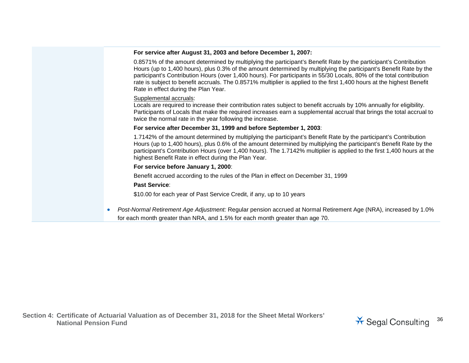#### **For service after August 31, 2003 and before December 1, 2007:**

0.8571% of the amount determined by multiplying the participant's Benefit Rate by the participant's Contribution Hours (up to 1,400 hours), plus 0.3% of the amount determined by multiplying the participant's Benefit Rate by the participant's Contribution Hours (over 1,400 hours). For participants in 55/30 Locals, 80% of the total contribution rate is subject to benefit accruals. The 0.8571% multiplier is applied to the first 1,400 hours at the highest Benefit Rate in effect during the Plan Year.

#### Supplemental accruals:

Locals are required to increase their contribution rates subject to benefit accruals by 10% annually for eligibility. Participants of Locals that make the required increases earn a supplemental accrual that brings the total accrual to twice the normal rate in the year following the increase.

#### **For service after December 31, 1999 and before September 1, 2003**:

1.7142% of the amount determined by multiplying the participant's Benefit Rate by the participant's Contribution Hours (up to 1,400 hours), plus 0.6% of the amount determined by multiplying the participant's Benefit Rate by the participant's Contribution Hours (over 1,400 hours). The 1.7142% multiplier is applied to the first 1,400 hours at the highest Benefit Rate in effect during the Plan Year.

#### **For service before January 1, 2000**:

Benefit accrued according to the rules of the Plan in effect on December 31, 1999

#### **Past Service**:

\$10.00 for each year of Past Service Credit, if any, up to 10 years

• *Post-Normal Retirement Age Adjustment:* Regular pension accrued at Normal Retirement Age (NRA), increased by 1.0% for each month greater than NRA, and 1.5% for each month greater than age 70.

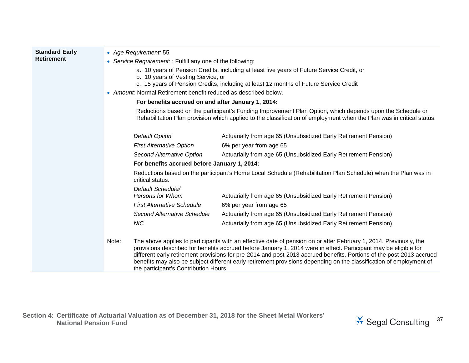| <b>Standard Early</b><br><b>Retirement</b> | • Age Requirement: 55<br>• Service Requirement: : Fulfill any one of the following:<br>a. 10 years of Pension Credits, including at least five years of Future Service Credit, or<br>b. 10 years of Vesting Service, or<br>c. 15 years of Pension Credits, including at least 12 months of Future Service Credit<br>• Amount: Normal Retirement benefit reduced as described below. |                                                                                                                                                                                                                                                                                                                                                                                                                                                                                      |  |  |
|--------------------------------------------|-------------------------------------------------------------------------------------------------------------------------------------------------------------------------------------------------------------------------------------------------------------------------------------------------------------------------------------------------------------------------------------|--------------------------------------------------------------------------------------------------------------------------------------------------------------------------------------------------------------------------------------------------------------------------------------------------------------------------------------------------------------------------------------------------------------------------------------------------------------------------------------|--|--|
|                                            | For benefits accrued on and after January 1, 2014:                                                                                                                                                                                                                                                                                                                                  |                                                                                                                                                                                                                                                                                                                                                                                                                                                                                      |  |  |
|                                            |                                                                                                                                                                                                                                                                                                                                                                                     | Reductions based on the participant's Funding Improvement Plan Option, which depends upon the Schedule or<br>Rehabilitation Plan provision which applied to the classification of employment when the Plan was in critical status.                                                                                                                                                                                                                                                   |  |  |
|                                            | <b>Default Option</b>                                                                                                                                                                                                                                                                                                                                                               | Actuarially from age 65 (Unsubsidized Early Retirement Pension)                                                                                                                                                                                                                                                                                                                                                                                                                      |  |  |
|                                            | <b>First Alternative Option</b>                                                                                                                                                                                                                                                                                                                                                     | 6% per year from age 65                                                                                                                                                                                                                                                                                                                                                                                                                                                              |  |  |
|                                            | Second Alternative Option                                                                                                                                                                                                                                                                                                                                                           | Actuarially from age 65 (Unsubsidized Early Retirement Pension)                                                                                                                                                                                                                                                                                                                                                                                                                      |  |  |
|                                            | For benefits accrued before January 1, 2014:                                                                                                                                                                                                                                                                                                                                        |                                                                                                                                                                                                                                                                                                                                                                                                                                                                                      |  |  |
|                                            | critical status.                                                                                                                                                                                                                                                                                                                                                                    | Reductions based on the participant's Home Local Schedule (Rehabilitation Plan Schedule) when the Plan was in                                                                                                                                                                                                                                                                                                                                                                        |  |  |
|                                            | Default Schedule/<br>Persons for Whom<br><b>First Alternative Schedule</b>                                                                                                                                                                                                                                                                                                          | Actuarially from age 65 (Unsubsidized Early Retirement Pension)<br>6% per year from age 65                                                                                                                                                                                                                                                                                                                                                                                           |  |  |
|                                            | Second Alternative Schedule                                                                                                                                                                                                                                                                                                                                                         | Actuarially from age 65 (Unsubsidized Early Retirement Pension)                                                                                                                                                                                                                                                                                                                                                                                                                      |  |  |
|                                            | <b>NIC</b>                                                                                                                                                                                                                                                                                                                                                                          | Actuarially from age 65 (Unsubsidized Early Retirement Pension)                                                                                                                                                                                                                                                                                                                                                                                                                      |  |  |
|                                            | Note:<br>the participant's Contribution Hours.                                                                                                                                                                                                                                                                                                                                      | The above applies to participants with an effective date of pension on or after February 1, 2014. Previously, the<br>provisions described for benefits accrued before January 1, 2014 were in effect. Participant may be eligible for<br>different early retirement provisions for pre-2014 and post-2013 accrued benefits. Portions of the post-2013 accrued<br>benefits may also be subject different early retirement provisions depending on the classification of employment of |  |  |

**Section 4: Certificate of Actuarial Valuation as of December 31, 2018 for the Sheet Metal Workers' National Pension Fund** <sup>37</sup>

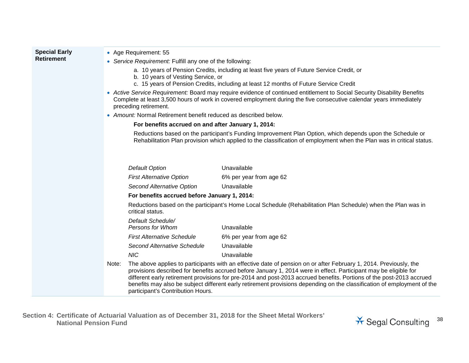| <b>Special Early</b><br><b>Retirement</b> | • Age Requirement: 55<br>• Service Requirement: Fulfill any one of the following:<br>a. 10 years of Pension Credits, including at least five years of Future Service Credit, or<br>b. 10 years of Vesting Service, or<br>c. 15 years of Pension Credits, including at least 12 months of Future Service Credit |                                                                                                                                                                                                                                                                                                                                                                                                                                                                                          |  |
|-------------------------------------------|----------------------------------------------------------------------------------------------------------------------------------------------------------------------------------------------------------------------------------------------------------------------------------------------------------------|------------------------------------------------------------------------------------------------------------------------------------------------------------------------------------------------------------------------------------------------------------------------------------------------------------------------------------------------------------------------------------------------------------------------------------------------------------------------------------------|--|
|                                           | • Active Service Requirement: Board may require evidence of continued entitlement to Social Security Disability Benefits<br>Complete at least 3,500 hours of work in covered employment during the five consecutive calendar years immediately<br>preceding retirement.                                        |                                                                                                                                                                                                                                                                                                                                                                                                                                                                                          |  |
|                                           | • Amount: Normal Retirement benefit reduced as described below.                                                                                                                                                                                                                                                |                                                                                                                                                                                                                                                                                                                                                                                                                                                                                          |  |
|                                           | For benefits accrued on and after January 1, 2014:                                                                                                                                                                                                                                                             |                                                                                                                                                                                                                                                                                                                                                                                                                                                                                          |  |
|                                           |                                                                                                                                                                                                                                                                                                                | Reductions based on the participant's Funding Improvement Plan Option, which depends upon the Schedule or<br>Rehabilitation Plan provision which applied to the classification of employment when the Plan was in critical status.                                                                                                                                                                                                                                                       |  |
|                                           | <b>Default Option</b>                                                                                                                                                                                                                                                                                          | Unavailable                                                                                                                                                                                                                                                                                                                                                                                                                                                                              |  |
|                                           | <b>First Alternative Option</b>                                                                                                                                                                                                                                                                                | 6% per year from age 62                                                                                                                                                                                                                                                                                                                                                                                                                                                                  |  |
|                                           | Second Alternative Option                                                                                                                                                                                                                                                                                      | Unavailable                                                                                                                                                                                                                                                                                                                                                                                                                                                                              |  |
|                                           | For benefits accrued before January 1, 2014:                                                                                                                                                                                                                                                                   |                                                                                                                                                                                                                                                                                                                                                                                                                                                                                          |  |
|                                           | critical status.                                                                                                                                                                                                                                                                                               | Reductions based on the participant's Home Local Schedule (Rehabilitation Plan Schedule) when the Plan was in                                                                                                                                                                                                                                                                                                                                                                            |  |
|                                           | Default Schedule/<br>Persons for Whom                                                                                                                                                                                                                                                                          | Unavailable                                                                                                                                                                                                                                                                                                                                                                                                                                                                              |  |
|                                           | <b>First Alternative Schedule</b>                                                                                                                                                                                                                                                                              | 6% per year from age 62                                                                                                                                                                                                                                                                                                                                                                                                                                                                  |  |
|                                           | Second Alternative Schedule                                                                                                                                                                                                                                                                                    | Unavailable                                                                                                                                                                                                                                                                                                                                                                                                                                                                              |  |
|                                           | <b>NIC</b>                                                                                                                                                                                                                                                                                                     | Unavailable                                                                                                                                                                                                                                                                                                                                                                                                                                                                              |  |
|                                           | Note:<br>participant's Contribution Hours.                                                                                                                                                                                                                                                                     | The above applies to participants with an effective date of pension on or after February 1, 2014. Previously, the<br>provisions described for benefits accrued before January 1, 2014 were in effect. Participant may be eligible for<br>different early retirement provisions for pre-2014 and post-2013 accrued benefits. Portions of the post-2013 accrued<br>benefits may also be subject different early retirement provisions depending on the classification of employment of the |  |

**Section 4: Certificate of Actuarial Valuation as of December 31, 2018 for the Sheet Metal Workers' National Pension Fund** <sup>38</sup>

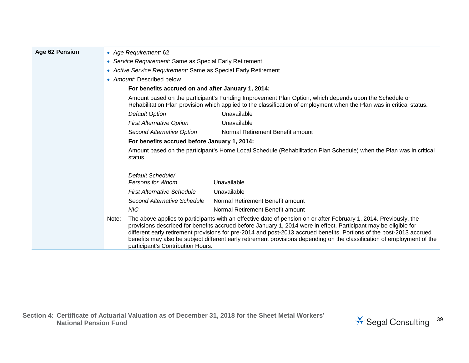| <b>Age 62 Pension</b> | • Age Requirement: 62                                   |                                                                                                                                                                                                                                |                                                                                                                                                                                                                                                                                                                                                                                                                                                                                          |  |  |
|-----------------------|---------------------------------------------------------|--------------------------------------------------------------------------------------------------------------------------------------------------------------------------------------------------------------------------------|------------------------------------------------------------------------------------------------------------------------------------------------------------------------------------------------------------------------------------------------------------------------------------------------------------------------------------------------------------------------------------------------------------------------------------------------------------------------------------------|--|--|
|                       | • Service Requirement: Same as Special Early Retirement |                                                                                                                                                                                                                                |                                                                                                                                                                                                                                                                                                                                                                                                                                                                                          |  |  |
|                       |                                                         | • Active Service Requirement: Same as Special Early Retirement                                                                                                                                                                 |                                                                                                                                                                                                                                                                                                                                                                                                                                                                                          |  |  |
|                       | • Amount: Described below                               |                                                                                                                                                                                                                                |                                                                                                                                                                                                                                                                                                                                                                                                                                                                                          |  |  |
|                       | For benefits accrued on and after January 1, 2014:      |                                                                                                                                                                                                                                |                                                                                                                                                                                                                                                                                                                                                                                                                                                                                          |  |  |
|                       |                                                         | Amount based on the participant's Funding Improvement Plan Option, which depends upon the Schedule or<br>Rehabilitation Plan provision which applied to the classification of employment when the Plan was in critical status. |                                                                                                                                                                                                                                                                                                                                                                                                                                                                                          |  |  |
|                       | <b>Default Option</b>                                   |                                                                                                                                                                                                                                | Unavailable                                                                                                                                                                                                                                                                                                                                                                                                                                                                              |  |  |
|                       |                                                         | <b>First Alternative Option</b>                                                                                                                                                                                                | Unavailable                                                                                                                                                                                                                                                                                                                                                                                                                                                                              |  |  |
|                       |                                                         | Second Alternative Option                                                                                                                                                                                                      | Normal Retirement Benefit amount                                                                                                                                                                                                                                                                                                                                                                                                                                                         |  |  |
|                       | For benefits accrued before January 1, 2014:            |                                                                                                                                                                                                                                |                                                                                                                                                                                                                                                                                                                                                                                                                                                                                          |  |  |
|                       | status.                                                 |                                                                                                                                                                                                                                | Amount based on the participant's Home Local Schedule (Rehabilitation Plan Schedule) when the Plan was in critical                                                                                                                                                                                                                                                                                                                                                                       |  |  |
|                       |                                                         | Default Schedule/<br>Persons for Whom                                                                                                                                                                                          | Unavailable                                                                                                                                                                                                                                                                                                                                                                                                                                                                              |  |  |
|                       |                                                         | <b>First Alternative Schedule</b>                                                                                                                                                                                              | Unavailable                                                                                                                                                                                                                                                                                                                                                                                                                                                                              |  |  |
|                       |                                                         | Second Alternative Schedule                                                                                                                                                                                                    | Normal Retirement Benefit amount                                                                                                                                                                                                                                                                                                                                                                                                                                                         |  |  |
|                       | <b>NIC</b>                                              |                                                                                                                                                                                                                                | Normal Retirement Benefit amount                                                                                                                                                                                                                                                                                                                                                                                                                                                         |  |  |
|                       | Note:                                                   | participant's Contribution Hours.                                                                                                                                                                                              | The above applies to participants with an effective date of pension on or after February 1, 2014. Previously, the<br>provisions described for benefits accrued before January 1, 2014 were in effect. Participant may be eligible for<br>different early retirement provisions for pre-2014 and post-2013 accrued benefits. Portions of the post-2013 accrued<br>benefits may also be subject different early retirement provisions depending on the classification of employment of the |  |  |

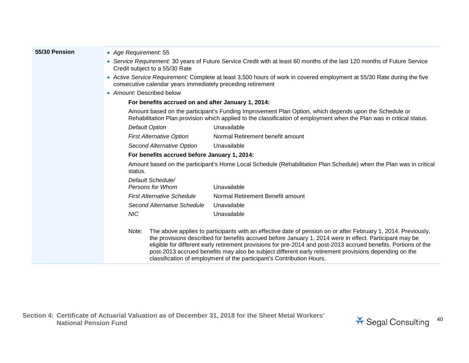| 55/30 Pension | • Age Requirement: 55                                                                                                                                                                                                                                                                                                                                                                                                                                                                                                                  |  |  |  |  |
|---------------|----------------------------------------------------------------------------------------------------------------------------------------------------------------------------------------------------------------------------------------------------------------------------------------------------------------------------------------------------------------------------------------------------------------------------------------------------------------------------------------------------------------------------------------|--|--|--|--|
|               | • Service Requirement: 30 years of Future Service Credit with at least 60 months of the last 120 months of Future Service<br>Credit subject to a 55/30 Rate                                                                                                                                                                                                                                                                                                                                                                            |  |  |  |  |
|               | • Active Service Requirement: Complete at least 3,500 hours of work in covered employment at 55/30 Rate during the five<br>consecutive calendar years immediately preceding retirement                                                                                                                                                                                                                                                                                                                                                 |  |  |  |  |
|               | • Amount: Described below                                                                                                                                                                                                                                                                                                                                                                                                                                                                                                              |  |  |  |  |
|               | For benefits accrued on and after January 1, 2014:                                                                                                                                                                                                                                                                                                                                                                                                                                                                                     |  |  |  |  |
|               | Amount based on the participant's Funding Improvement Plan Option, which depends upon the Schedule or<br>Rehabilitation Plan provision which applied to the classification of employment when the Plan was in critical status.                                                                                                                                                                                                                                                                                                         |  |  |  |  |
|               | <b>Default Option</b><br>Unavailable                                                                                                                                                                                                                                                                                                                                                                                                                                                                                                   |  |  |  |  |
|               | Normal Retirement benefit amount<br><b>First Alternative Option</b>                                                                                                                                                                                                                                                                                                                                                                                                                                                                    |  |  |  |  |
|               | Second Alternative Option<br>Unavailable                                                                                                                                                                                                                                                                                                                                                                                                                                                                                               |  |  |  |  |
|               | For benefits accrued before January 1, 2014:                                                                                                                                                                                                                                                                                                                                                                                                                                                                                           |  |  |  |  |
|               | Amount based on the participant's Home Local Schedule (Rehabilitation Plan Schedule) when the Plan was in critical<br>status.                                                                                                                                                                                                                                                                                                                                                                                                          |  |  |  |  |
|               | Default Schedule/                                                                                                                                                                                                                                                                                                                                                                                                                                                                                                                      |  |  |  |  |
|               | Unavailable<br>Persons for Whom                                                                                                                                                                                                                                                                                                                                                                                                                                                                                                        |  |  |  |  |
|               | Normal Retirement Benefit amount<br><b>First Alternative Schedule</b>                                                                                                                                                                                                                                                                                                                                                                                                                                                                  |  |  |  |  |
|               | Second Alternative Schedule<br>Unavailable                                                                                                                                                                                                                                                                                                                                                                                                                                                                                             |  |  |  |  |
|               | <b>NIC</b><br>Unavailable                                                                                                                                                                                                                                                                                                                                                                                                                                                                                                              |  |  |  |  |
|               | The above applies to participants with an effective date of pension on or after February 1, 2014. Previously,<br>Note:<br>the provisions described for benefits accrued before January 1, 2014 were in effect. Participant may be<br>eligible for different early retirement provisions for pre-2014 and post-2013 accrued benefits. Portions of the<br>post-2013 accrued benefits may also be subject different early retirement provisions depending on the<br>classification of employment of the participant's Contribution Hours. |  |  |  |  |

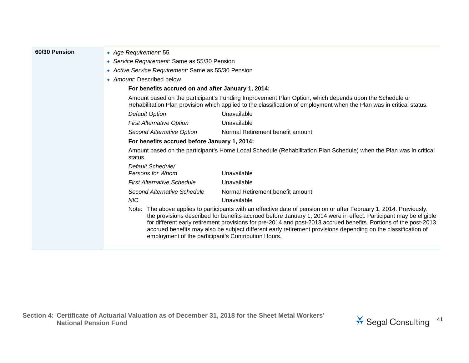- **60/30 Pension** *Age Requirement:* 55
	- *Service Requirement:* Same as 55/30 Pension
	- *Active Service Requirement:* Same as 55/30 Pension
	- *Amount:* Described below

#### **For benefits accrued on and after January 1, 2014:**

Amount based on the participant's Funding Improvement Plan Option, which depends upon the Schedule or Rehabilitation Plan provision which applied to the classification of employment when the Plan was in critical status.

| Default Option                  | Unavailable                      |
|---------------------------------|----------------------------------|
| <b>First Alternative Option</b> | Unavailable                      |
| Second Alternative Option       | Normal Retirement benefit amount |

#### **For benefits accrued before January 1, 2014:**

Amount based on the participant's Home Local Schedule (Rehabilitation Plan Schedule) when the Plan was in critical status. *Default Schedule/*

| Detault Schedule/                 |                                  |
|-----------------------------------|----------------------------------|
| Persons for Whom                  | Unavailable                      |
| <b>First Alternative Schedule</b> | Unavailable                      |
| Second Alternative Schedule       | Normal Retirement benefit amount |
| NIC <sup>.</sup>                  | Unavailable                      |

Note: The above applies to participants with an effective date of pension on or after February 1, 2014. Previously, the provisions described for benefits accrued before January 1, 2014 were in effect. Participant may be eligible for different early retirement provisions for pre-2014 and post-2013 accrued benefits. Portions of the post-2013 accrued benefits may also be subject different early retirement provisions depending on the classification of employment of the participant's Contribution Hours.

**Section 4: Certificate of Actuarial Valuation as of December 31, 2018 for the Sheet Metal Workers'**  National Pension Fund<br>National Pension Fund<br>
<sup>41</sup> Segal Consulting

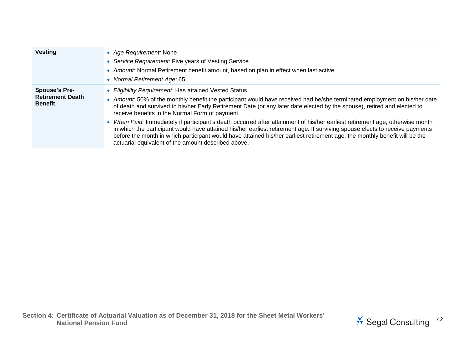| <b>Vesting</b>                                                    | • Age Requirement: None<br>• Service Requirement: Five years of Vesting Service<br>• Amount: Normal Retirement benefit amount, based on plan in effect when last active<br>• Normal Retirement Age: 65                                                                                                                                                                                                                                             |
|-------------------------------------------------------------------|----------------------------------------------------------------------------------------------------------------------------------------------------------------------------------------------------------------------------------------------------------------------------------------------------------------------------------------------------------------------------------------------------------------------------------------------------|
| <b>Spouse's Pre-</b><br><b>Retirement Death</b><br><b>Benefit</b> | • Eligibility Requirement: Has attained Vested Status<br>• Amount: 50% of the monthly benefit the participant would have received had he/she terminated employment on his/her date<br>of death and survived to his/her Early Retirement Date (or any later date elected by the spouse), retired and elected to<br>receive benefits in the Normal Form of payment.                                                                                  |
|                                                                   | • When Paid: Immediately if participant's death occurred after attainment of his/her earliest retirement age, otherwise month<br>in which the participant would have attained his/her earliest retirement age. If surviving spouse elects to receive payments<br>before the month in which participant would have attained his/her earliest retirement age, the monthly benefit will be the<br>actuarial equivalent of the amount described above. |

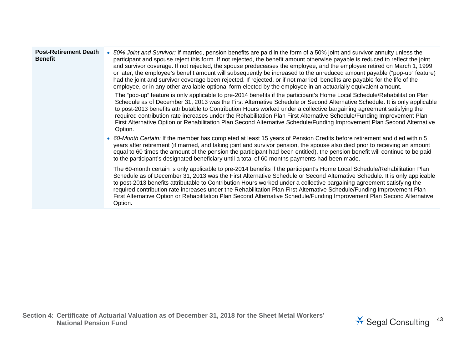| <b>Post-Retirement Death</b><br><b>Benefit</b> | 50% Joint and Survivor: If married, pension benefits are paid in the form of a 50% joint and survivor annuity unless the<br>participant and spouse reject this form. If not rejected, the benefit amount otherwise payable is reduced to reflect the joint<br>and survivor coverage. If not rejected, the spouse predeceases the employee, and the employee retired on March 1, 1999<br>or later, the employee's benefit amount will subsequently be increased to the unreduced amount payable ("pop-up" feature)<br>had the joint and survivor coverage been rejected. If rejected, or if not married, benefits are payable for the life of the<br>employee, or in any other available optional form elected by the employee in an actuarially equivalent amount.<br>The "pop-up" feature is only applicable to pre-2014 benefits if the participant's Home Local Schedule/Rehabilitation Plan<br>Schedule as of December 31, 2013 was the First Alternative Schedule or Second Alternative Schedule. It is only applicable |
|------------------------------------------------|------------------------------------------------------------------------------------------------------------------------------------------------------------------------------------------------------------------------------------------------------------------------------------------------------------------------------------------------------------------------------------------------------------------------------------------------------------------------------------------------------------------------------------------------------------------------------------------------------------------------------------------------------------------------------------------------------------------------------------------------------------------------------------------------------------------------------------------------------------------------------------------------------------------------------------------------------------------------------------------------------------------------------|
|                                                | to post-2013 benefits attributable to Contribution Hours worked under a collective bargaining agreement satisfying the<br>required contribution rate increases under the Rehabilitation Plan First Alternative Schedule/Funding Improvement Plan<br>First Alternative Option or Rehabilitation Plan Second Alternative Schedule/Funding Improvement Plan Second Alternative<br>Option.                                                                                                                                                                                                                                                                                                                                                                                                                                                                                                                                                                                                                                       |
|                                                | • 60-Month Certain: If the member has completed at least 15 years of Pension Credits before retirement and died within 5<br>years after retirement (if married, and taking joint and survivor pension, the spouse also died prior to receiving an amount<br>equal to 60 times the amount of the pension the participant had been entitled), the pension benefit will continue to be paid<br>to the participant's designated beneficiary until a total of 60 months payments had been made.                                                                                                                                                                                                                                                                                                                                                                                                                                                                                                                                   |
|                                                | The 60-month certain is only applicable to pre-2014 benefits if the participant's Home Local Schedule/Rehabilitation Plan<br>Schedule as of December 31, 2013 was the First Alternative Schedule or Second Alternative Schedule. It is only applicable<br>to post-2013 benefits attributable to Contribution Hours worked under a collective bargaining agreement satisfying the<br>required contribution rate increases under the Rehabilitation Plan First Alternative Schedule/Funding Improvement Plan<br>First Alternative Option or Rehabilitation Plan Second Alternative Schedule/Funding Improvement Plan Second Alternative<br>Option.                                                                                                                                                                                                                                                                                                                                                                             |

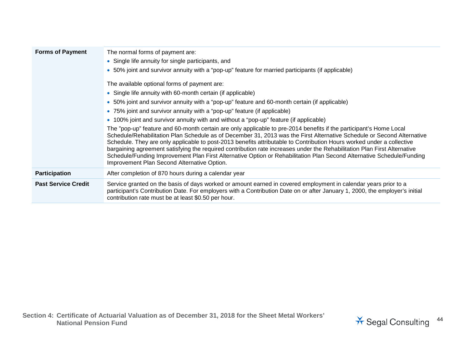| <b>Forms of Payment</b>    | The normal forms of payment are:<br>• Single life annuity for single participants, and<br>• 50% joint and survivor annuity with a "pop-up" feature for married participants (if applicable)<br>The available optional forms of payment are:<br>• Single life annuity with 60-month certain (if applicable)<br>• 50% joint and survivor annuity with a "pop-up" feature and 60-month certain (if applicable)<br>• 75% joint and survivor annuity with a "pop-up" feature (if applicable)<br>• 100% joint and survivor annuity with and without a "pop-up" feature (if applicable)<br>The "pop-up" feature and 60-month certain are only applicable to pre-2014 benefits if the participant's Home Local<br>Schedule/Rehabilitation Plan Schedule as of December 31, 2013 was the First Alternative Schedule or Second Alternative<br>Schedule. They are only applicable to post-2013 benefits attributable to Contribution Hours worked under a collective<br>bargaining agreement satisfying the required contribution rate increases under the Rehabilitation Plan First Alternative<br>Schedule/Funding Improvement Plan First Alternative Option or Rehabilitation Plan Second Alternative Schedule/Funding |
|----------------------------|----------------------------------------------------------------------------------------------------------------------------------------------------------------------------------------------------------------------------------------------------------------------------------------------------------------------------------------------------------------------------------------------------------------------------------------------------------------------------------------------------------------------------------------------------------------------------------------------------------------------------------------------------------------------------------------------------------------------------------------------------------------------------------------------------------------------------------------------------------------------------------------------------------------------------------------------------------------------------------------------------------------------------------------------------------------------------------------------------------------------------------------------------------------------------------------------------------------|
|                            | Improvement Plan Second Alternative Option.                                                                                                                                                                                                                                                                                                                                                                                                                                                                                                                                                                                                                                                                                                                                                                                                                                                                                                                                                                                                                                                                                                                                                                    |
| <b>Participation</b>       | After completion of 870 hours during a calendar year                                                                                                                                                                                                                                                                                                                                                                                                                                                                                                                                                                                                                                                                                                                                                                                                                                                                                                                                                                                                                                                                                                                                                           |
| <b>Past Service Credit</b> | Service granted on the basis of days worked or amount earned in covered employment in calendar years prior to a<br>participant's Contribution Date. For employers with a Contribution Date on or after January 1, 2000, the employer's initial<br>contribution rate must be at least \$0.50 per hour.                                                                                                                                                                                                                                                                                                                                                                                                                                                                                                                                                                                                                                                                                                                                                                                                                                                                                                          |

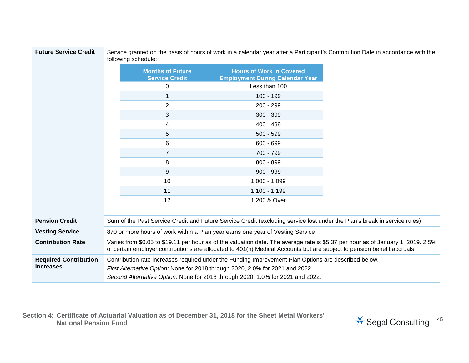| <b>Future Service Credit</b> |
|------------------------------|
|------------------------------|

Service granted on the basis of hours of work in a calendar year after a Participant's Contribution Date in accordance with the following schedule:

|                                                  |                                                                                                                                                                                                                                                                         | <b>Months of Future</b><br><b>Service Credit</b> | <b>Hours of Work in Covered</b><br><b>Employment During Calendar Year</b> |  |
|--------------------------------------------------|-------------------------------------------------------------------------------------------------------------------------------------------------------------------------------------------------------------------------------------------------------------------------|--------------------------------------------------|---------------------------------------------------------------------------|--|
|                                                  |                                                                                                                                                                                                                                                                         | 0                                                | Less than 100                                                             |  |
|                                                  |                                                                                                                                                                                                                                                                         | 1                                                | $100 - 199$                                                               |  |
|                                                  |                                                                                                                                                                                                                                                                         | 2                                                | 200 - 299                                                                 |  |
|                                                  |                                                                                                                                                                                                                                                                         | 3                                                | $300 - 399$                                                               |  |
|                                                  |                                                                                                                                                                                                                                                                         | 4                                                | 400 - 499                                                                 |  |
|                                                  |                                                                                                                                                                                                                                                                         | 5                                                | $500 - 599$                                                               |  |
|                                                  |                                                                                                                                                                                                                                                                         | 6                                                | $600 - 699$                                                               |  |
|                                                  |                                                                                                                                                                                                                                                                         | 7                                                | 700 - 799                                                                 |  |
|                                                  |                                                                                                                                                                                                                                                                         | 8                                                | 800 - 899                                                                 |  |
|                                                  |                                                                                                                                                                                                                                                                         | 9                                                | $900 - 999$                                                               |  |
|                                                  |                                                                                                                                                                                                                                                                         | 10                                               | $1,000 - 1,099$                                                           |  |
|                                                  |                                                                                                                                                                                                                                                                         | 11                                               | $1,100 - 1,199$                                                           |  |
|                                                  |                                                                                                                                                                                                                                                                         | 12                                               | 1,200 & Over                                                              |  |
|                                                  |                                                                                                                                                                                                                                                                         |                                                  |                                                                           |  |
| <b>Pension Credit</b>                            | Sum of the Past Service Credit and Future Service Credit (excluding service lost under the Plan's break in service rules)                                                                                                                                               |                                                  |                                                                           |  |
| <b>Vesting Service</b>                           | 870 or more hours of work within a Plan year earns one year of Vesting Service                                                                                                                                                                                          |                                                  |                                                                           |  |
| <b>Contribution Rate</b>                         | Varies from \$0.05 to \$19.11 per hour as of the valuation date. The average rate is \$5.37 per hour as of January 1, 2019. 2.5%<br>of certain employer contributions are allocated to 401(h) Medical Accounts but are subject to pension benefit accruals.             |                                                  |                                                                           |  |
| <b>Required Contribution</b><br><b>Increases</b> | Contribution rate increases required under the Funding Improvement Plan Options are described below.<br>First Alternative Option: None for 2018 through 2020, 2.0% for 2021 and 2022.<br>Second Alternative Option: None for 2018 through 2020, 1.0% for 2021 and 2022. |                                                  |                                                                           |  |